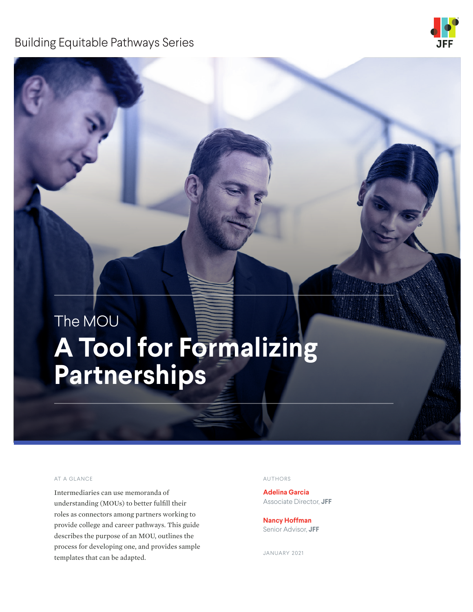# Building Equitable Pathways Series



# The MOU **A Tool for Formalizing Partnerships**

#### AT A GLANCE AUTHORS AND AUTHORS

Intermediaries can use memoranda of understanding (MOUs) to better fulfill their roles as connectors among partners working to provide college and career pathways. This guide describes the purpose of an MOU, outlines the process for developing one, and provides sample templates that can be adapted.

**Adelina Garcia** Associate Director, **JFF** 

**Nancy Hoffman** Senior Advisor, **JFF**

JANUARY 2021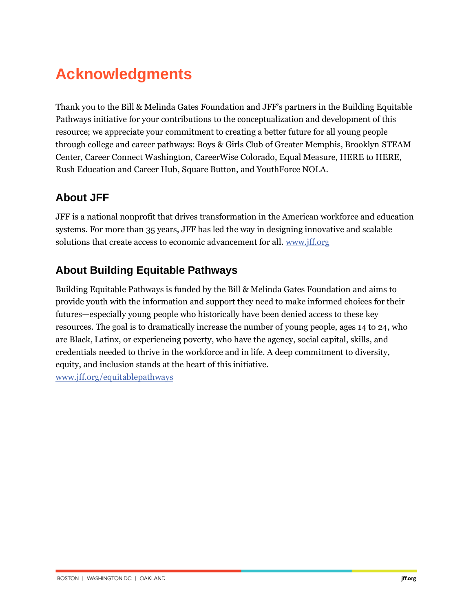# **Acknowledgments**

Thank you to the Bill & Melinda Gates Foundation and JFF's partners in the Building Equitable Pathways initiative for your contributions to the conceptualization and development of this resource; we appreciate your commitment to creating a better future for all young people through college and career pathways: Boys & Girls Club of Greater Memphis, Brooklyn STEAM Center, Career Connect Washington, CareerWise Colorado, Equal Measure, HERE to HERE, Rush Education and Career Hub, Square Button, and YouthForce NOLA.

# **About JFF**

JFF is a national nonprofit that drives transformation in the American workforce and education systems. For more than 35 years, JFF has led the way in designing innovative and scalable solutions that create access to economic advancement for all[. www.jff.org](https://www.jff.org/)

# **About Building Equitable Pathways**

Building Equitable Pathways is funded by the Bill & Melinda Gates Foundation and aims to provide youth with the information and support they need to make informed choices for their futures—especially young people who historically have been denied access to these key resources. The goal is to dramatically increase the number of young people, ages 14 to 24, who are Black, Latinx, or experiencing poverty, who have the agency, social capital, skills, and credentials needed to thrive in the workforce and in life. A deep commitment to diversity, equity, and inclusion stands at the heart of this initiative.

[www.jff.org/equitablepathways](https://www.jff.org/what-we-do/impact-stories/building-equitable-pathways/?utm_source=JFF&utm_medium=resource&utm_campaign=BEP)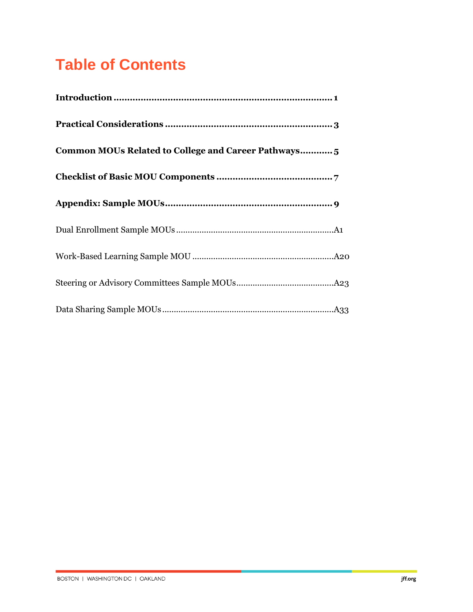# **Table of Contents**

| Common MOUs Related to College and Career Pathways 5 |
|------------------------------------------------------|
|                                                      |
|                                                      |
|                                                      |
|                                                      |
|                                                      |
|                                                      |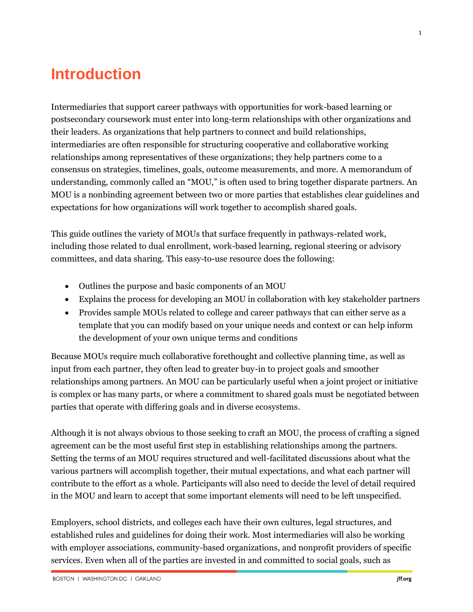# **Introduction**

Intermediaries that support career pathways with opportunities for work-based learning or postsecondary coursework must enter into long-term relationships with other organizations and their leaders. As organizations that help partners to connect and build relationships, intermediaries are often responsible for structuring cooperative and collaborative working relationships among representatives of these organizations; they help partners come to a consensus on strategies, timelines, goals, outcome measurements, and more. A memorandum of understanding, commonly called an "MOU," is often used to bring together disparate partners. An MOU is a nonbinding agreement between two or more parties that establishes clear guidelines and expectations for how organizations will work together to accomplish shared goals.

This guide outlines the variety of MOUs that surface frequently in pathways-related work, including those related to dual enrollment, work-based learning, regional steering or advisory committees, and data sharing. This easy-to-use resource does the following:

- Outlines the purpose and basic components of an MOU
- Explains the process for developing an MOU in collaboration with key stakeholder partners
- Provides sample MOUs related to college and career pathways that can either serve as a template that you can modify based on your unique needs and context or can help inform the development of your own unique terms and conditions

Because MOUs require much collaborative forethought and collective planning time, as well as input from each partner, they often lead to greater buy-in to project goals and smoother relationships among partners. An MOU can be particularly useful when a joint project or initiative is complex or has many parts, or where a commitment to shared goals must be negotiated between parties that operate with differing goals and in diverse ecosystems.

Although it is not always obvious to those seeking to craft an MOU, the process of crafting a signed agreement can be the most useful first step in establishing relationships among the partners. Setting the terms of an MOU requires structured and well-facilitated discussions about what the various partners will accomplish together, their mutual expectations, and what each partner will contribute to the effort as a whole. Participants will also need to decide the level of detail required in the MOU and learn to accept that some important elements will need to be left unspecified.

Employers, school districts, and colleges each have their own cultures, legal structures, and established rules and guidelines for doing their work. Most intermediaries will also be working with employer associations, community-based organizations, and nonprofit providers of specific services. Even when all of the parties are invested in and committed to social goals, such as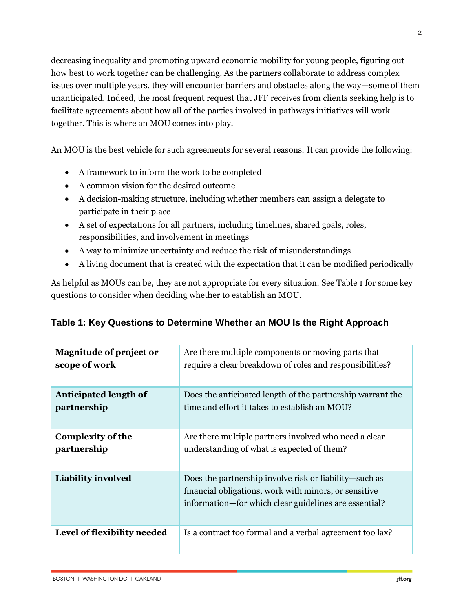decreasing inequality and promoting upward economic mobility for young people, figuring out how best to work together can be challenging. As the partners collaborate to address complex issues over multiple years, they will encounter barriers and obstacles along the way—some of them unanticipated. Indeed, the most frequent request that JFF receives from clients seeking help is to facilitate agreements about how all of the parties involved in pathways initiatives will work together. This is where an MOU comes into play.

An MOU is the best vehicle for such agreements for several reasons. It can provide the following:

- A framework to inform the work to be completed
- A common vision for the desired outcome
- A decision-making structure, including whether members can assign a delegate to participate in their place
- A set of expectations for all partners, including timelines, shared goals, roles, responsibilities, and involvement in meetings
- A way to minimize uncertainty and reduce the risk of misunderstandings
- A living document that is created with the expectation that it can be modified periodically

As helpful as MOUs can be, they are not appropriate for every situation. See Table 1 for some key questions to consider when deciding whether to establish an MOU.

| <b>Magnitude of project or</b> | Are there multiple components or moving parts that                                                                                                                       |
|--------------------------------|--------------------------------------------------------------------------------------------------------------------------------------------------------------------------|
| scope of work                  | require a clear breakdown of roles and responsibilities?                                                                                                                 |
| Anticipated length of          | Does the anticipated length of the partnership warrant the                                                                                                               |
| partnership                    | time and effort it takes to establish an MOU?                                                                                                                            |
| <b>Complexity of the</b>       | Are there multiple partners involved who need a clear                                                                                                                    |
| partnership                    | understanding of what is expected of them?                                                                                                                               |
| <b>Liability involved</b>      | Does the partnership involve risk or liability—such as<br>financial obligations, work with minors, or sensitive<br>information-for which clear guidelines are essential? |
| Level of flexibility needed    | Is a contract too formal and a verbal agreement too lax?                                                                                                                 |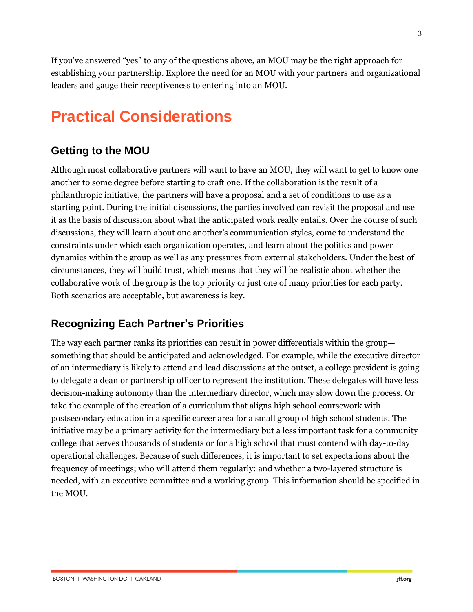If you've answered "yes" to any of the questions above, an MOU may be the right approach for establishing your partnership. Explore the need for an MOU with your partners and organizational leaders and gauge their receptiveness to entering into an MOU.

# **Practical Considerations**

# **Getting to the MOU**

Although most collaborative partners will want to have an MOU, they will want to get to know one another to some degree before starting to craft one. If the collaboration is the result of a philanthropic initiative, the partners will have a proposal and a set of conditions to use as a starting point. During the initial discussions, the parties involved can revisit the proposal and use it as the basis of discussion about what the anticipated work really entails. Over the course of such discussions, they will learn about one another's communication styles, come to understand the constraints under which each organization operates, and learn about the politics and power dynamics within the group as well as any pressures from external stakeholders. Under the best of circumstances, they will build trust, which means that they will be realistic about whether the collaborative work of the group is the top priority or just one of many priorities for each party. Both scenarios are acceptable, but awareness is key.

# **Recognizing Each Partner's Priorities**

The way each partner ranks its priorities can result in power differentials within the group something that should be anticipated and acknowledged. For example, while the executive director of an intermediary is likely to attend and lead discussions at the outset, a college president is going to delegate a dean or partnership officer to represent the institution. These delegates will have less decision-making autonomy than the intermediary director, which may slow down the process. Or take the example of the creation of a curriculum that aligns high school coursework with postsecondary education in a specific career area for a small group of high school students. The initiative may be a primary activity for the intermediary but a less important task for a community college that serves thousands of students or for a high school that must contend with day-to-day operational challenges. Because of such differences, it is important to set expectations about the frequency of meetings; who will attend them regularly; and whether a two-layered structure is needed, with an executive committee and a working group. This information should be specified in the MOU.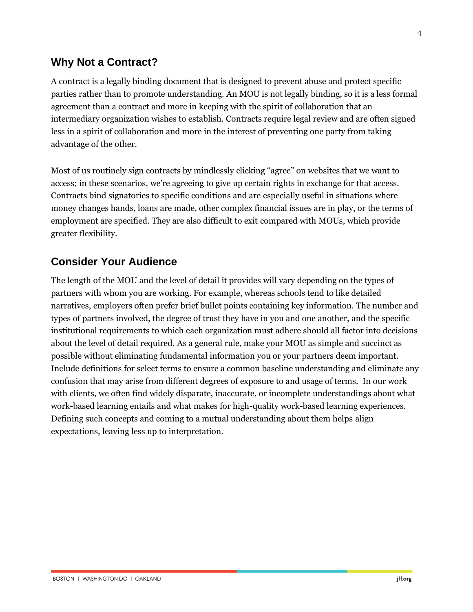# **Why Not a Contract?**

A contract is a legally binding document that is designed to prevent abuse and protect specific parties rather than to promote understanding. An MOU is not legally binding, so it is a less formal agreement than a contract and more in keeping with the spirit of collaboration that an intermediary organization wishes to establish. Contracts require legal review and are often signed less in a spirit of collaboration and more in the interest of preventing one party from taking advantage of the other.

Most of us routinely sign contracts by mindlessly clicking "agree" on websites that we want to access; in these scenarios, we're agreeing to give up certain rights in exchange for that access. Contracts bind signatories to specific conditions and are especially useful in situations where money changes hands, loans are made, other complex financial issues are in play, or the terms of employment are specified. They are also difficult to exit compared with MOUs, which provide greater flexibility.

# **Consider Your Audience**

The length of the MOU and the level of detail it provides will vary depending on the types of partners with whom you are working. For example, whereas schools tend to like detailed narratives, employers often prefer brief bullet points containing key information. The number and types of partners involved, the degree of trust they have in you and one another, and the specific institutional requirements to which each organization must adhere should all factor into decisions about the level of detail required. As a general rule, make your MOU as simple and succinct as possible without eliminating fundamental information you or your partners deem important. Include definitions for select terms to ensure a common baseline understanding and eliminate any confusion that may arise from different degrees of exposure to and usage of terms. In our work with clients, we often find widely disparate, inaccurate, or incomplete understandings about what work-based learning entails and what makes for high-quality work-based learning experiences. Defining such concepts and coming to a mutual understanding about them helps align expectations, leaving less up to interpretation.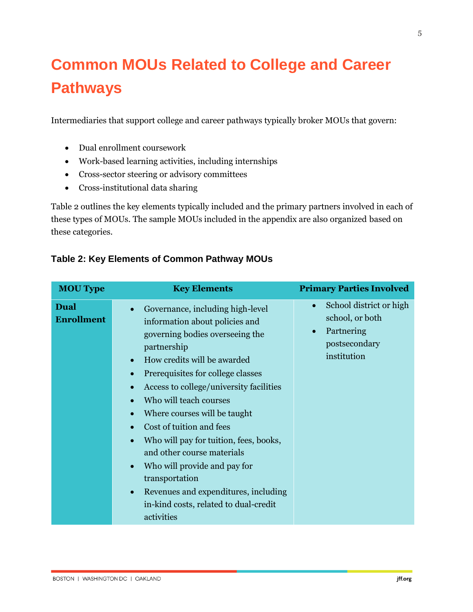# **Common MOUs Related to College and Career Pathways**

Intermediaries that support college and career pathways typically broker MOUs that govern:

- Dual enrollment coursework
- Work-based learning activities, including internships
- Cross-sector steering or advisory committees
- Cross-institutional data sharing

Table 2 outlines the key elements typically included and the primary partners involved in each of these types of MOUs. The sample MOUs included in the appendix are also organized based on these categories.

| <b>MOU Type</b>           | <b>Key Elements</b>                                                                                                                                                                                                                                                                                                                                                                                                                                                                                                                                                                                                                                                    | <b>Primary Parties Involved</b>                                                                       |
|---------------------------|------------------------------------------------------------------------------------------------------------------------------------------------------------------------------------------------------------------------------------------------------------------------------------------------------------------------------------------------------------------------------------------------------------------------------------------------------------------------------------------------------------------------------------------------------------------------------------------------------------------------------------------------------------------------|-------------------------------------------------------------------------------------------------------|
| Dual<br><b>Enrollment</b> | Governance, including high-level<br>$\bullet$<br>information about policies and<br>governing bodies overseeing the<br>partnership<br>How credits will be awarded<br>$\bullet$<br>Prerequisites for college classes<br>$\bullet$<br>Access to college/university facilities<br>$\bullet$<br>Who will teach courses<br>$\bullet$<br>Where courses will be taught<br>$\bullet$<br>Cost of tuition and fees<br>$\bullet$<br>Who will pay for tuition, fees, books,<br>$\bullet$<br>and other course materials<br>Who will provide and pay for<br>$\bullet$<br>transportation<br>Revenues and expenditures, including<br>$\bullet$<br>in-kind costs, related to dual-credit | School district or high<br>$\bullet$<br>school, or both<br>Partnering<br>postsecondary<br>institution |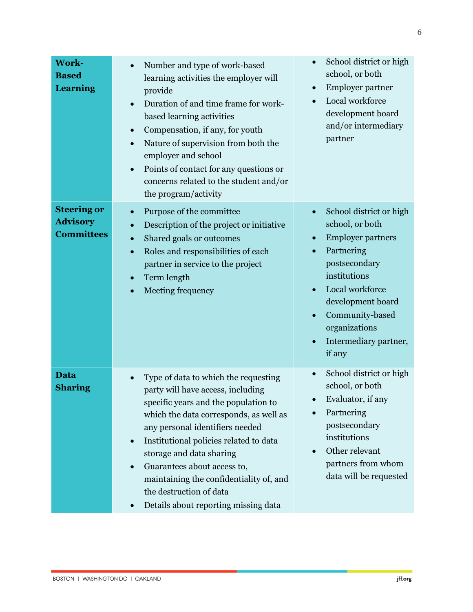| <b>Work-</b><br><b>Based</b><br><b>Learning</b>            | Number and type of work-based<br>$\bullet$<br>learning activities the employer will<br>provide<br>Duration of and time frame for work-<br>$\bullet$<br>based learning activities<br>Compensation, if any, for youth<br>$\bullet$<br>Nature of supervision from both the<br>$\bullet$<br>employer and school<br>Points of contact for any questions or<br>$\bullet$<br>concerns related to the student and/or<br>the program/activity                                  | School district or high<br>school, or both<br>Employer partner<br>$\bullet$<br>Local workforce<br>development board<br>and/or intermediary<br>partner                                                                                                          |
|------------------------------------------------------------|-----------------------------------------------------------------------------------------------------------------------------------------------------------------------------------------------------------------------------------------------------------------------------------------------------------------------------------------------------------------------------------------------------------------------------------------------------------------------|----------------------------------------------------------------------------------------------------------------------------------------------------------------------------------------------------------------------------------------------------------------|
| <b>Steering or</b><br><b>Advisory</b><br><b>Committees</b> | Purpose of the committee<br>$\bullet$<br>Description of the project or initiative<br>Shared goals or outcomes<br>$\bullet$<br>Roles and responsibilities of each<br>$\bullet$<br>partner in service to the project<br>Term length<br>$\bullet$<br>Meeting frequency                                                                                                                                                                                                   | School district or high<br>$\bullet$<br>school, or both<br><b>Employer partners</b><br>Partnering<br>postsecondary<br>institutions<br>Local workforce<br>$\bullet$<br>development board<br>Community-based<br>organizations<br>Intermediary partner,<br>if any |
| <b>Data</b><br><b>Sharing</b>                              | Type of data to which the requesting<br>$\bullet$<br>party will have access, including<br>specific years and the population to<br>which the data corresponds, as well as<br>any personal identifiers needed<br>Institutional policies related to data<br>$\bullet$<br>storage and data sharing<br>Guarantees about access to,<br>$\bullet$<br>maintaining the confidentiality of, and<br>the destruction of data<br>Details about reporting missing data<br>$\bullet$ | School district or high<br>$\bullet$<br>school, or both<br>Evaluator, if any<br>Partnering<br>postsecondary<br>institutions<br>Other relevant<br>partners from whom<br>data will be requested                                                                  |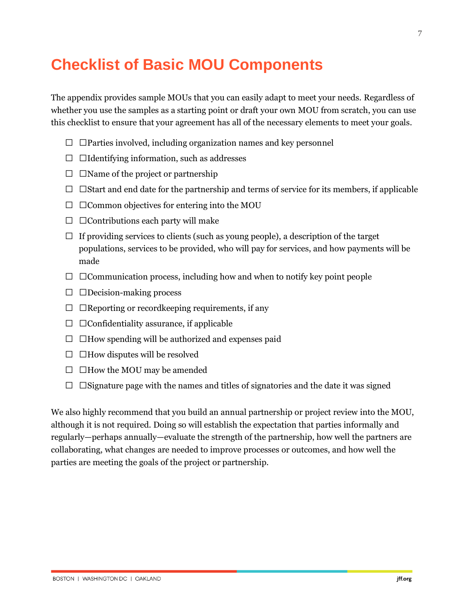# **Checklist of Basic MOU Components**

The appendix provides sample MOUs that you can easily adapt to meet your needs. Regardless of whether you use the samples as a starting point or draft your own MOU from scratch, you can use this checklist to ensure that your agreement has all of the necessary elements to meet your goals.

- • Parties involved, including organization names and key personnel
- Identifying information, such as addresses
- • Name of the project or partnership
- • Start and end date for the partnership and terms of service for its members, if applicable
- • Common objectives for entering into the MOU
- • Contributions each party will make
- If providing services to clients (such as young people), a description of the target populations, services to be provided, who will pay for services, and how payments will be made
- • Communication process, including how and when to notify key point people
- • Decision-making process
- • Reporting or record keeping requirements, if any
- • Confidentiality assurance, if applicable
- • How spending will be authorized and expenses paid
- • How disputes will be resolved
- How the MOU may be amended
- • Signature page with the names and titles of signatories and the date it was signed

We also highly recommend that you build an annual partnership or project review into the MOU, although it is not required. Doing so will establish the expectation that parties informally and regularly—perhaps annually—evaluate the strength of the partnership, how well the partners are collaborating, what changes are needed to improve processes or outcomes, and how well the parties are meeting the goals of the project or partnership.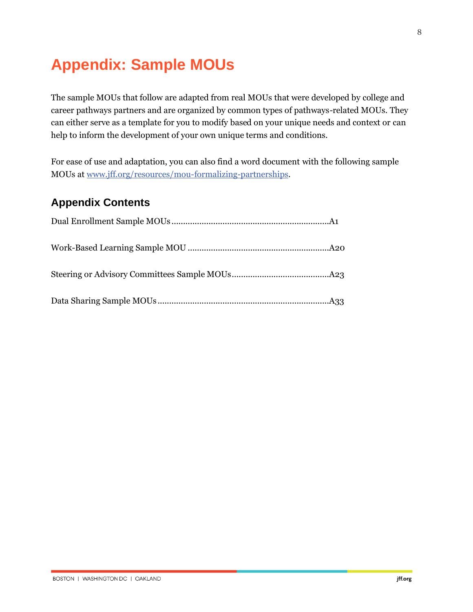# **Appendix: Sample MOUs**

The sample MOUs that follow are adapted from real MOUs that were developed by college and career pathways partners and are organized by common types of pathways-related MOUs. They can either serve as a template for you to modify based on your unique needs and context or can help to inform the development of your own unique terms and conditions.

For ease of use and adaptation, you can also find a word document with the following sample MOUs at [www.jff.org/resources/mou-formalizing-partnerships.](https://www.jff.org/what-we-do/impact-stories/building-equitable-pathways/mou-formalizing-partnerships/?utm_source=JFF&utm_medium=Resource&utm_campaign=BEP)

# **Appendix Contents**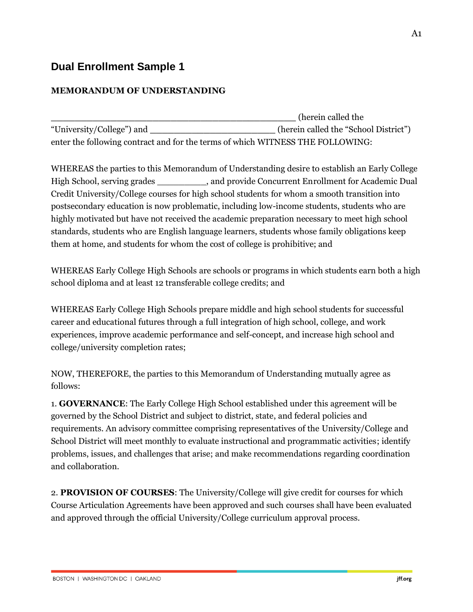# **Dual Enrollment Sample 1**

# **MEMORANDUM OF UNDERSTANDING**

**\_\_\_\_\_\_\_\_\_\_\_\_\_\_\_\_\_\_\_\_\_\_\_\_\_\_\_\_\_\_\_\_\_\_\_\_\_\_\_\_\_** (herein called the "University/College") and **\_\_\_\_\_\_\_\_\_\_\_\_\_\_\_\_\_\_\_\_\_** (herein called the "School District") enter the following contract and for the terms of which WITNESS THE FOLLOWING:

WHEREAS the parties to this Memorandum of Understanding desire to establish an Early College High School, serving grades \_\_\_\_\_\_\_\_\_, and provide Concurrent Enrollment for Academic Dual Credit University/College courses for high school students for whom a smooth transition into postsecondary education is now problematic, including low-income students, students who are highly motivated but have not received the academic preparation necessary to meet high school standards, students who are English language learners, students whose family obligations keep them at home, and students for whom the cost of college is prohibitive; and

WHEREAS Early College High Schools are schools or programs in which students earn both a high school diploma and at least 12 transferable college credits; and

WHEREAS Early College High Schools prepare middle and high school students for successful career and educational futures through a full integration of high school, college, and work experiences, improve academic performance and self-concept, and increase high school and college/university completion rates;

NOW, THEREFORE, the parties to this Memorandum of Understanding mutually agree as follows:

1. **GOVERNANCE**: The Early College High School established under this agreement will be governed by the School District and subject to district, state, and federal policies and requirements. An advisory committee comprising representatives of the University/College and School District will meet monthly to evaluate instructional and programmatic activities; identify problems, issues, and challenges that arise; and make recommendations regarding coordination and collaboration.

2. **PROVISION OF COURSES**: The University/College will give credit for courses for which Course Articulation Agreements have been approved and such courses shall have been evaluated and approved through the official University/College curriculum approval process.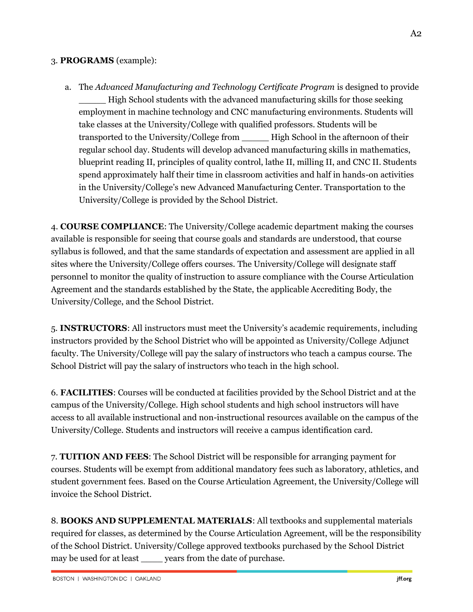#### 3. **PROGRAMS** (example):

a. The *Advanced Manufacturing and Technology Certificate Program* is designed to provide \_\_\_\_\_ High School students with the advanced manufacturing skills for those seeking employment in machine technology and CNC manufacturing environments. Students will take classes at the University/College with qualified professors. Students will be transported to the University/College from \_\_\_\_\_ High School in the afternoon of their regular school day. Students will develop advanced manufacturing skills in mathematics, blueprint reading II, principles of quality control, lathe II, milling II, and CNC II. Students spend approximately half their time in classroom activities and half in hands-on activities in the University/College's new Advanced Manufacturing Center. Transportation to the University/College is provided by the School District.

4. **COURSE COMPLIANCE**: The University/College academic department making the courses available is responsible for seeing that course goals and standards are understood, that course syllabus is followed, and that the same standards of expectation and assessment are applied in all sites where the University/College offers courses. The University/College will designate staff personnel to monitor the quality of instruction to assure compliance with the Course Articulation Agreement and the standards established by the State, the applicable Accrediting Body, the University/College, and the School District.

5. **INSTRUCTORS**: All instructors must meet the University's academic requirements, including instructors provided by the School District who will be appointed as University/College Adjunct faculty. The University/College will pay the salary of instructors who teach a campus course. The School District will pay the salary of instructors who teach in the high school.

6. **FACILITIES**: Courses will be conducted at facilities provided by the School District and at the campus of the University/College. High school students and high school instructors will have access to all available instructional and non-instructional resources available on the campus of the University/College. Students and instructors will receive a campus identification card.

7. **TUITION AND FEES**: The School District will be responsible for arranging payment for courses. Students will be exempt from additional mandatory fees such as laboratory, athletics, and student government fees. Based on the Course Articulation Agreement, the University/College will invoice the School District.

8. **BOOKS AND SUPPLEMENTAL MATERIALS**: All textbooks and supplemental materials required for classes, as determined by the Course Articulation Agreement, will be the responsibility of the School District. University/College approved textbooks purchased by the School District may be used for at least \_\_\_\_\_ years from the date of purchase.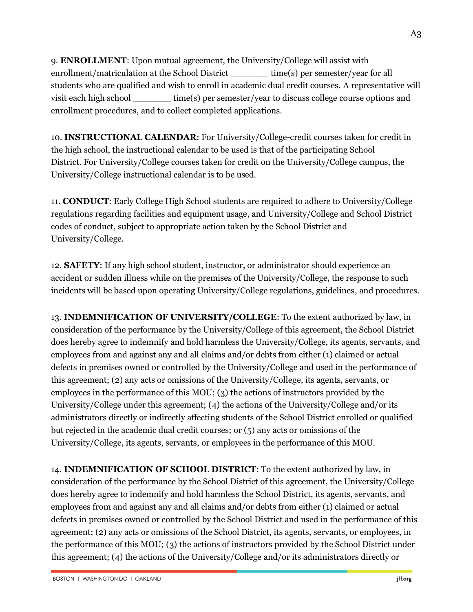9. **ENROLLMENT**: Upon mutual agreement, the University/College will assist with enrollment/matriculation at the School District time(s) per semester/year for all students who are qualified and wish to enroll in academic dual credit courses. A representative will visit each high school \_\_\_\_\_\_\_ time(s) per semester/year to discuss college course options and enrollment procedures, and to collect completed applications.

10. **INSTRUCTIONAL CALENDAR**: For University/College-credit courses taken for credit in the high school, the instructional calendar to be used is that of the participating School District. For University/College courses taken for credit on the University/College campus, the University/College instructional calendar is to be used.

11. **CONDUCT**: Early College High School students are required to adhere to University/College regulations regarding facilities and equipment usage, and University/College and School District codes of conduct, subject to appropriate action taken by the School District and University/College.

12. **SAFETY**: If any high school student, instructor, or administrator should experience an accident or sudden illness while on the premises of the University/College, the response to such incidents will be based upon operating University/College regulations, guidelines, and procedures.

13. **INDEMNIFICATION OF UNIVERSITY/COLLEGE**: To the extent authorized by law, in consideration of the performance by the University/College of this agreement, the School District does hereby agree to indemnify and hold harmless the University/College, its agents, servants, and employees from and against any and all claims and/or debts from either (1) claimed or actual defects in premises owned or controlled by the University/College and used in the performance of this agreement; (2) any acts or omissions of the University/College, its agents, servants, or employees in the performance of this MOU; (3) the actions of instructors provided by the University/College under this agreement; (4) the actions of the University/College and/or its administrators directly or indirectly affecting students of the School District enrolled or qualified but rejected in the academic dual credit courses; or (5) any acts or omissions of the University/College, its agents, servants, or employees in the performance of this MOU.

14. **INDEMNIFICATION OF SCHOOL DISTRICT**: To the extent authorized by law, in consideration of the performance by the School District of this agreement, the University/College does hereby agree to indemnify and hold harmless the School District, its agents, servants, and employees from and against any and all claims and/or debts from either (1) claimed or actual defects in premises owned or controlled by the School District and used in the performance of this agreement; (2) any acts or omissions of the School District, its agents, servants, or employees, in the performance of this MOU; (3) the actions of instructors provided by the School District under this agreement; (4) the actions of the University/College and/or its administrators directly or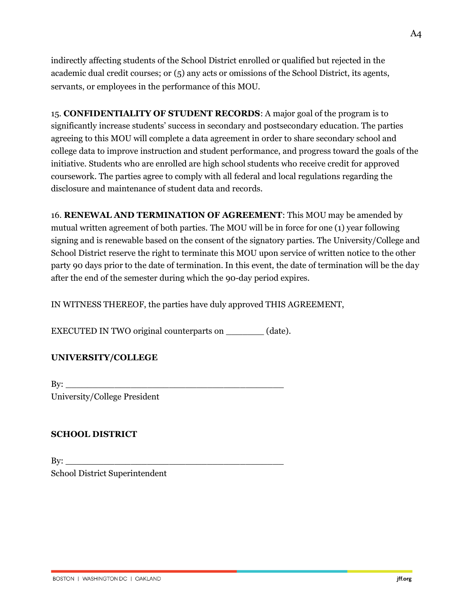indirectly affecting students of the School District enrolled or qualified but rejected in the academic dual credit courses; or (5) any acts or omissions of the School District, its agents, servants, or employees in the performance of this MOU.

15. **CONFIDENTIALITY OF STUDENT RECORDS**: A major goal of the program is to significantly increase students' success in secondary and postsecondary education. The parties agreeing to this MOU will complete a data agreement in order to share secondary school and college data to improve instruction and student performance, and progress toward the goals of the initiative. Students who are enrolled are high school students who receive credit for approved coursework. The parties agree to comply with all federal and local regulations regarding the disclosure and maintenance of student data and records.

16. **RENEWAL AND TERMINATION OF AGREEMENT**: This MOU may be amended by mutual written agreement of both parties. The MOU will be in force for one (1) year following signing and is renewable based on the consent of the signatory parties. The University/College and School District reserve the right to terminate this MOU upon service of written notice to the other party 90 days prior to the date of termination. In this event, the date of termination will be the day after the end of the semester during which the 90-day period expires.

IN WITNESS THEREOF, the parties have duly approved THIS AGREEMENT,

EXECUTED IN TWO original counterparts on \_\_\_\_\_\_\_ (date).

# **UNIVERSITY/COLLEGE**

By: \_\_\_\_\_\_\_\_\_\_\_\_\_\_\_\_\_\_\_\_\_\_\_\_\_\_\_\_\_\_\_\_\_\_\_\_\_\_\_\_ University/College President

# **SCHOOL DISTRICT**

 $\mathbf{By:}$ School District Superintendent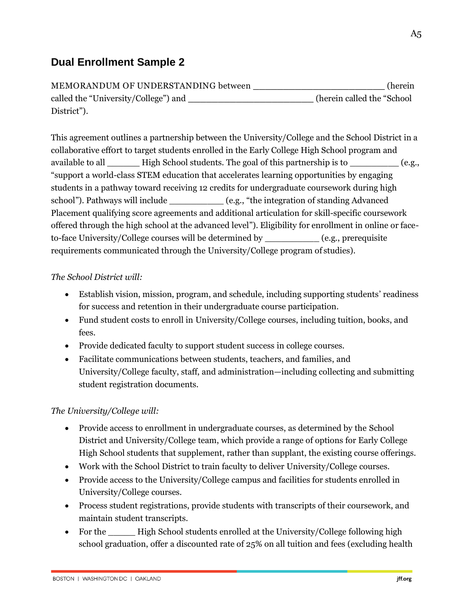# **Dual Enrollment Sample 2**

MEMORANDUM OF UNDERSTANDING between **\_\_\_\_\_\_\_\_\_\_\_\_\_\_\_\_\_\_\_\_\_\_** (herein called the "University/College") and **\_\_\_\_\_\_\_\_\_\_\_\_\_\_\_\_\_\_\_\_\_** (herein called the "School District").

This agreement outlines a partnership between the University/College and the School District in a collaborative eff0rt to target students enrolled in the Early College High School program and available to all **High School students. The goal of this partnership is to**  $(e.g.,)$ "support a world-class STEM education that accelerates learning opportunities by engaging students in a pathway toward receiving 12 credits for undergraduate coursework during high school"). Pathways will include  $(e.g., "the integration of standing Advanced]$ Placement qualifying score agreements and additional articulation for skill-specific coursework offered through the high school at the advanced level"). Eligibility for enrollment in online or faceto-face University/College courses will be determined by \_\_\_\_\_\_\_\_\_\_ (e.g., prerequisite requirements communicated through the University/College program of studies).

# *The School District will:*

- Establish vision, mission, program, and schedule, including supporting students' readiness for success and retention in their undergraduate course participation.
- Fund student costs to enroll in University/College courses, including tuition, books, and fees.
- Provide dedicated faculty to support student success in college courses.
- Facilitate communications between students, teachers, and families, and University/College faculty, staff, and administration—including collecting and submitting student registration documents.

# *The University/College will:*

- Provide access to enrollment in undergraduate courses, as determined by the School District and University/College team, which provide a range of options for Early College High School students that supplement, rather than supplant, the existing course offerings.
- Work with the School District to train faculty to deliver University/College courses.
- Provide access to the University/College campus and facilities for students enrolled in University/College courses.
- Process student registrations, provide students with transcripts of their coursework, and maintain student transcripts.
- For the High School students enrolled at the University/College following high school graduation, offer a discounted rate of 25% on all tuition and fees (excluding health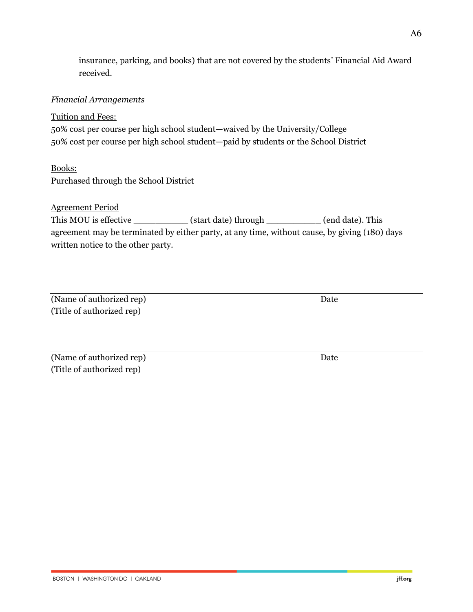insurance, parking, and books) that are not covered by the students' Financial Aid Award received.

# *Financial Arrangements*

### Tuition and Fees:

50% cost per course per high school student—waived by the University/College 50% cost per course per high school student—paid by students or the School District

#### Books:

Purchased through the School District

# Agreement Period

| This MOU is effective                                                                         | (start date) through | (end date). This |
|-----------------------------------------------------------------------------------------------|----------------------|------------------|
| agreement may be terminated by either party, at any time, without cause, by giving (180) days |                      |                  |
| written notice to the other party.                                                            |                      |                  |

# (Name of authorized rep) Date (Title of authorized rep)

(Name of authorized rep) Date (Title of authorized rep)

jff.org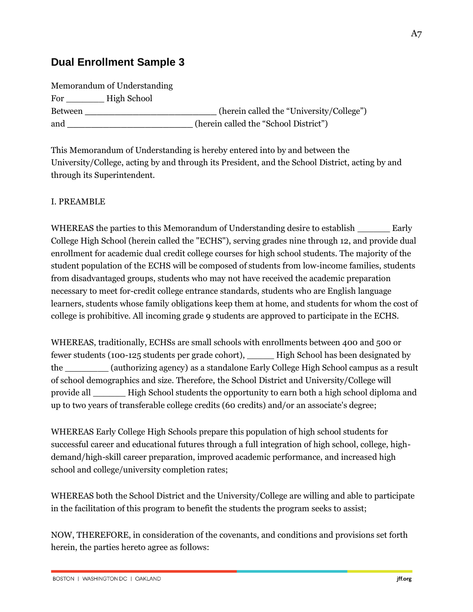# **Dual Enrollment Sample 3**

Memorandum of Understanding For High School Between \_\_\_\_\_\_\_\_\_\_\_\_\_\_\_\_\_\_\_\_\_\_\_\_\_\_\_\_\_\_\_\_(herein called the "University/College") and **\_\_\_\_\_\_\_\_\_\_\_\_\_\_\_\_\_\_\_** (herein called the "School District")

This Memorandum of Understanding is hereby entered into by and between the University/College, acting by and through its President, and the School District, acting by and through its Superintendent.

#### I. PREAMBLE

WHEREAS the parties to this Memorandum of Understanding desire to establish Early College High School (herein called the "ECHS"), serving grades nine through 12, and provide dual enrollment for academic dual credit college courses for high school students. The majority of the student population of the ECHS will be composed of students from low-income families, students from disadvantaged groups, students who may not have received the academic preparation necessary to meet for-credit college entrance standards, students who are English language learners, students whose family obligations keep them at home, and students for whom the cost of college is prohibitive. All incoming grade 9 students are approved to participate in the ECHS.

WHEREAS, traditionally, ECHSs are small schools with enrollments between 400 and 500 or fewer students (100-125 students per grade cohort), \_\_\_\_\_ High School has been designated by the \_\_\_\_\_\_\_\_ (authorizing agency) as a standalone Early College High School campus as a result of school demographics and size. Therefore, the School District and University/College will provide all \_\_\_\_\_\_ High School students the opportunity to earn both a high school diploma and up to two years of transferable college credits (60 credits) and/or an associate's degree;

WHEREAS Early College High Schools prepare this population of high school students for successful career and educational futures through a full integration of high school, college, highdemand/high-skill career preparation, improved academic performance, and increased high school and college/university completion rates;

WHEREAS both the School District and the University/College are willing and able to participate in the facilitation of this program to benefit the students the program seeks to assist;

NOW, THEREFORE, in consideration of the covenants, and conditions and provisions set forth herein, the parties hereto agree as follows:

jff.org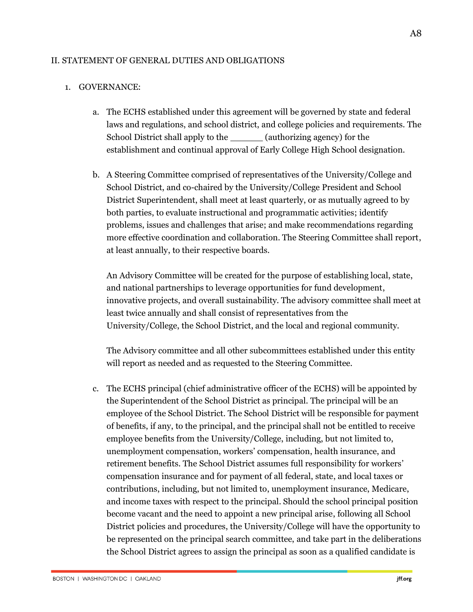#### II. STATEMENT OF GENERAL DUTIES AND OBLIGATIONS

#### 1. GOVERNANCE:

- a. The ECHS established under this agreement will be governed by state and federal laws and regulations, and school district, and college policies and requirements. The School District shall apply to the **Example 2** (authorizing agency) for the establishment and continual approval of Early College High School designation.
- b. A Steering Committee comprised of representatives of the University/College and School District, and co-chaired by the University/College President and School District Superintendent, shall meet at least quarterly, or as mutually agreed to by both parties, to evaluate instructional and programmatic activities; identify problems, issues and challenges that arise; and make recommendations regarding more effective coordination and collaboration. The Steering Committee shall report, at least annually, to their respective boards.

An Advisory Committee will be created for the purpose of establishing local, state, and national partnerships to leverage opportunities for fund development, innovative projects, and overall sustainability. The advisory committee shall meet at least twice annually and shall consist of representatives from the University/College, the School District, and the local and regional community.

The Advisory committee and all other subcommittees established under this entity will report as needed and as requested to the Steering Committee.

c. The ECHS principal (chief administrative officer of the ECHS) will be appointed by the Superintendent of the School District as principal. The principal will be an employee of the School District. The School District will be responsible for payment of benefits, if any, to the principal, and the principal shall not be entitled to receive employee benefits from the University/College, including, but not limited to, unemployment compensation, workers' compensation, health insurance, and retirement benefits. The School District assumes full responsibility for workers' compensation insurance and for payment of all federal, state, and local taxes or contributions, including, but not limited to, unemployment insurance, Medicare, and income taxes with respect to the principal. Should the school principal position become vacant and the need to appoint a new principal arise, following all School District policies and procedures, the University/College will have the opportunity to be represented on the principal search committee, and take part in the deliberations the School District agrees to assign the principal as soon as a qualified candidate is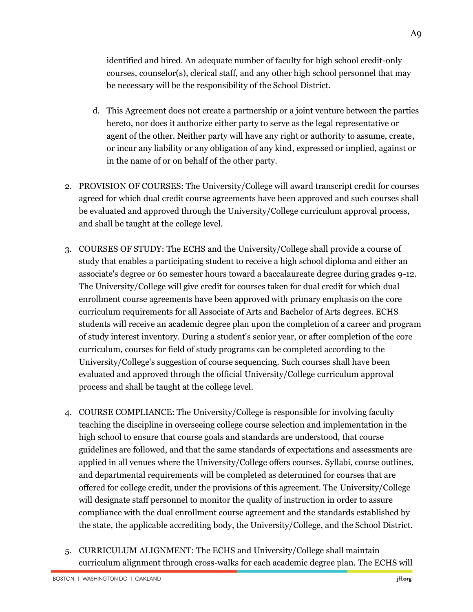identified and hired. An adequate number of faculty for high school credit-only courses, counselor(s), clerical staff, and any other high school personnel that may be necessary will be the responsibility of the School District.

- d. This Agreement does not create a partnership or a joint venture between the parties hereto, nor does it authorize either party to serve as the legal representative or agent of the other. Neither party will have any right or authority to assume, create, or incur any liability or any obligation of any kind, expressed or implied, against or in the name of or on behalf of the other party.
- 2. PROVISION OF COURSES: The University/College will award transcript credit for courses agreed for which dual credit course agreements have been approved and such courses shall be evaluated and approved through the University/College curriculum approval process, and shall be taught at the college level.
- 3. COURSES OF STUDY: The ECHS and the University/College shall provide a course of study that enables a participating student to receive a high school diploma and either an associate's degree or 60 semester hours toward a baccalaureate degree during grades 9-12. The University/College will give credit for courses taken for dual credit for which dual enrollment course agreements have been approved with primary emphasis on the core curriculum requirements for all Associate of Arts and Bachelor of Arts degrees. ECHS students will receive an academic degree plan upon the completion of a career and program of study interest inventory. During a student's senior year, or after completion of the core curriculum, courses for field of study programs can be completed according to the University/College's suggestion of course sequencing. Such courses shall have been evaluated and approved through the official University/College curriculum approval process and shall be taught at the college level.
- 4. COURSE COMPLIANCE: The University/College is responsible for involving faculty teaching the discipline in overseeing college course selection and implementation in the high school to ensure that course goals and standards are understood, that course guidelines are followed, and that the same standards of expectations and assessments are applied in all venues where the University/College offers courses. Syllabi, course outlines, and departmental requirements will be completed as determined for courses that are offered for college credit, under the provisions of this agreement. The University/College will designate staff personnel to monitor the quality of instruction in order to assure compliance with the dual enrollment course agreement and the standards established by the state, the applicable accrediting body, the University/College, and the School District.
- 5. CURRICULUM ALIGNMENT: The ECHS and University/College shall maintain curriculum alignment through cross-walks for each academic degree plan. The ECHS will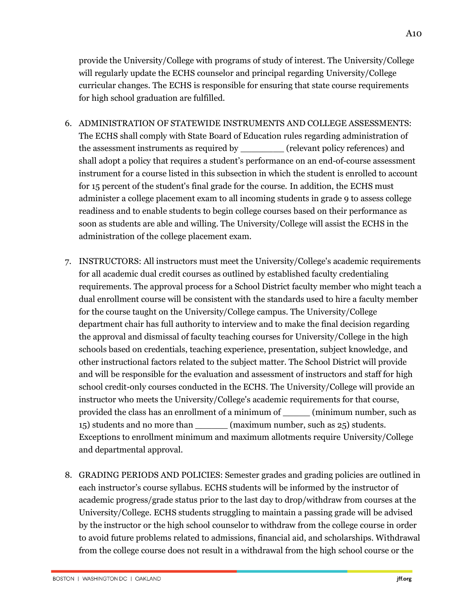provide the University/College with programs of study of interest. The University/College will regularly update the ECHS counselor and principal regarding University/College curricular changes. The ECHS is responsible for ensuring that state course requirements for high school graduation are fulfilled.

- 6. ADMINISTRATION OF STATEWIDE INSTRUMENTS AND COLLEGE ASSESSMENTS: The ECHS shall comply with State Board of Education rules regarding administration of the assessment instruments as required by \_\_\_\_\_\_\_\_ (relevant policy references) and shall adopt a policy that requires a student's performance on an end-of-course assessment instrument for a course listed in this subsection in which the student is enrolled to account for 15 percent of the student's final grade for the course. In addition, the ECHS must administer a college placement exam to all incoming students in grade 9 to assess college readiness and to enable students to begin college courses based on their performance as soon as students are able and willing. The University/College will assist the ECHS in the administration of the college placement exam.
- 7. INSTRUCTORS: All instructors must meet the University/College's academic requirements for all academic dual credit courses as outlined by established faculty credentialing requirements. The approval process for a School District faculty member who might teach a dual enrollment course will be consistent with the standards used to hire a faculty member for the course taught on the University/College campus. The University/College department chair has full authority to interview and to make the final decision regarding the approval and dismissal of faculty teaching courses for University/College in the high schools based on credentials, teaching experience, presentation, subject knowledge, and other instructional factors related to the subject matter. The School District will provide and will be responsible for the evaluation and assessment of instructors and staff for high school credit-only courses conducted in the ECHS. The University/College will provide an instructor who meets the University/College's academic requirements for that course, provided the class has an enrollment of a minimum of \_\_\_\_\_ (minimum number, such as 15) students and no more than \_\_\_\_\_\_ (maximum number, such as 25) students. Exceptions to enrollment minimum and maximum allotments require University/College and departmental approval.
- 8. GRADING PERIODS AND POLICIES: Semester grades and grading policies are outlined in each instructor's course syllabus. ECHS students will be informed by the instructor of academic progress/grade status prior to the last day to drop/withdraw from courses at the University/College. ECHS students struggling to maintain a passing grade will be advised by the instructor or the high school counselor to withdraw from the college course in order to avoid future problems related to admissions, financial aid, and scholarships. Withdrawal from the college course does not result in a withdrawal from the high school course or the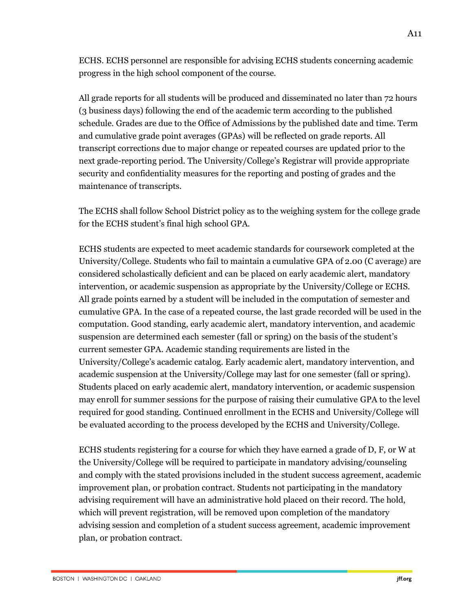ECHS. ECHS personnel are responsible for advising ECHS students concerning academic progress in the high school component of the course.

All grade reports for all students will be produced and disseminated no later than 72 hours (3 business days) following the end of the academic term according to the published schedule. Grades are due to the Office of Admissions by the published date and time. Term and cumulative grade point averages (GPAs) will be reflected on grade reports. All transcript corrections due to major change or repeated courses are updated prior to the next grade-reporting period. The University/College's Registrar will provide appropriate security and confidentiality measures for the reporting and posting of grades and the maintenance of transcripts.

The ECHS shall follow School District policy as to the weighing system for the college grade for the ECHS student's final high school GPA.

ECHS students are expected to meet academic standards for coursework completed at the University/College. Students who fail to maintain a cumulative GPA of 2.00 (C average) are considered scholastically deficient and can be placed on early academic alert, mandatory intervention, or academic suspension as appropriate by the University/College or ECHS. All grade points earned by a student will be included in the computation of semester and cumulative GPA. In the case of a repeated course, the last grade recorded will be used in the computation. Good standing, early academic alert, mandatory intervention, and academic suspension are determined each semester (fall or spring) on the basis of the student's current semester GPA. Academic standing requirements are listed in the University/College's academic catalog. Early academic alert, mandatory intervention, and academic suspension at the University/College may last for one semester (fall or spring). Students placed on early academic alert, mandatory intervention, or academic suspension may enroll for summer sessions for the purpose of raising their cumulative GPA to the level required for good standing. Continued enrollment in the ECHS and University/College will be evaluated according to the process developed by the ECHS and University/College.

ECHS students registering for a course for which they have earned a grade of D, F, or W at the University/College will be required to participate in mandatory advising/counseling and comply with the stated provisions included in the student success agreement, academic improvement plan, or probation contract. Students not participating in the mandatory advising requirement will have an administrative hold placed on their record. The hold, which will prevent registration, will be removed upon completion of the mandatory advising session and completion of a student success agreement, academic improvement plan, or probation contract.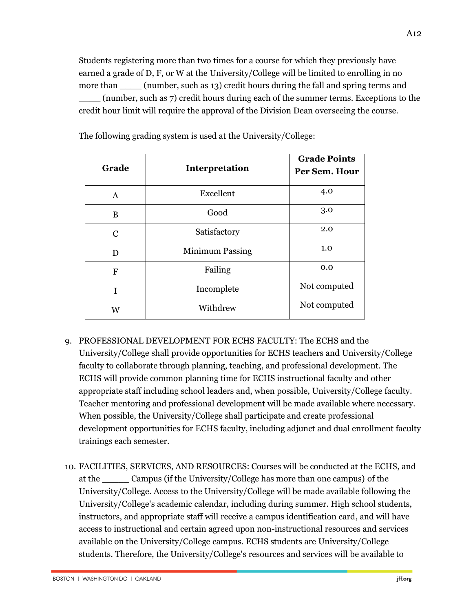Students registering more than two times for a course for which they previously have earned a grade of D, F, or W at the University/College will be limited to enrolling in no more than \_\_\_\_\_ (number, such as 13) credit hours during the fall and spring terms and (number, such as 7) credit hours during each of the summer terms. Exceptions to the credit hour limit will require the approval of the Division Dean overseeing the course.

| Grade         | Interpretation         | <b>Grade Points</b><br>Per Sem. Hour |
|---------------|------------------------|--------------------------------------|
| A             | Excellent              | 4.0                                  |
| B             | Good                   | 3.0                                  |
| $\mathcal{C}$ | Satisfactory           | 2.0                                  |
| D             | <b>Minimum Passing</b> | 1.0                                  |
| F             | Failing                | 0.0                                  |
| I             | Incomplete             | Not computed                         |
| W             | Withdrew               | Not computed                         |

The following grading system is used at the University/College:

- 9. PROFESSIONAL DEVELOPMENT FOR ECHS FACULTY: The ECHS and the University/College shall provide opportunities for ECHS teachers and University/College faculty to collaborate through planning, teaching, and professional development. The ECHS will provide common planning time for ECHS instructional faculty and other appropriate staff including school leaders and, when possible, University/College faculty. Teacher mentoring and professional development will be made available where necessary. When possible, the University/College shall participate and create professional development opportunities for ECHS faculty, including adjunct and dual enrollment faculty trainings each semester.
- 10. FACILITIES, SERVICES, AND RESOURCES: Courses will be conducted at the ECHS, and at the \_\_\_\_\_ Campus (if the University/College has more than one campus) of the University/College. Access to the University/College will be made available following the University/College's academic calendar, including during summer. High school students, instructors, and appropriate staff will receive a campus identification card, and will have access to instructional and certain agreed upon non-instructional resources and services available on the University/College campus. ECHS students are University/College students. Therefore, the University/College's resources and services will be available to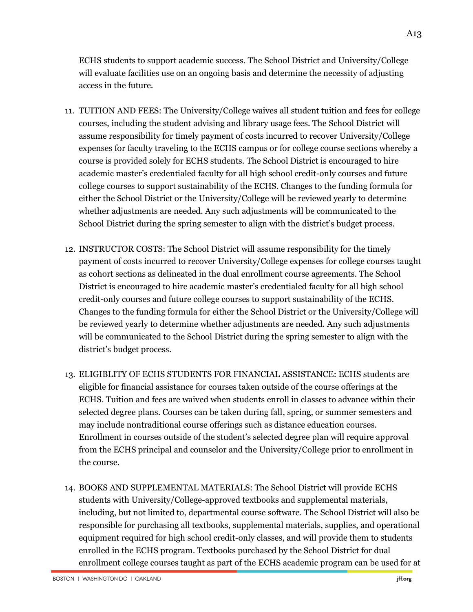ECHS students to support academic success. The School District and University/College will evaluate facilities use on an ongoing basis and determine the necessity of adjusting access in the future.

- 11. TUITION AND FEES: The University/College waives all student tuition and fees for college courses, including the student advising and library usage fees. The School District will assume responsibility for timely payment of costs incurred to recover University/College expenses for faculty traveling to the ECHS campus or for college course sections whereby a course is provided solely for ECHS students. The School District is encouraged to hire academic master's credentialed faculty for all high school credit-only courses and future college courses to support sustainability of the ECHS. Changes to the funding formula for either the School District or the University/College will be reviewed yearly to determine whether adjustments are needed. Any such adjustments will be communicated to the School District during the spring semester to align with the district's budget process.
- 12. INSTRUCTOR COSTS: The School District will assume responsibility for the timely payment of costs incurred to recover University/College expenses for college courses taught as cohort sections as delineated in the dual enrollment course agreements. The School District is encouraged to hire academic master's credentialed faculty for all high school credit-only courses and future college courses to support sustainability of the ECHS. Changes to the funding formula for either the School District or the University/College will be reviewed yearly to determine whether adjustments are needed. Any such adjustments will be communicated to the School District during the spring semester to align with the district's budget process.
- 13. ELIGIBLITY OF ECHS STUDENTS FOR FINANCIAL ASSISTANCE: ECHS students are eligible for financial assistance for courses taken outside of the course offerings at the ECHS. Tuition and fees are waived when students enroll in classes to advance within their selected degree plans. Courses can be taken during fall, spring, or summer semesters and may include nontraditional course offerings such as distance education courses. Enrollment in courses outside of the student's selected degree plan will require approval from the ECHS principal and counselor and the University/College prior to enrollment in the course.
- 14. BOOKS AND SUPPLEMENTAL MATERIALS: The School District will provide ECHS students with University/College-approved textbooks and supplemental materials, including, but not limited to, departmental course software. The School District will also be responsible for purchasing all textbooks, supplemental materials, supplies, and operational equipment required for high school credit-only classes, and will provide them to students enrolled in the ECHS program. Textbooks purchased by the School District for dual enrollment college courses taught as part of the ECHS academic program can be used for at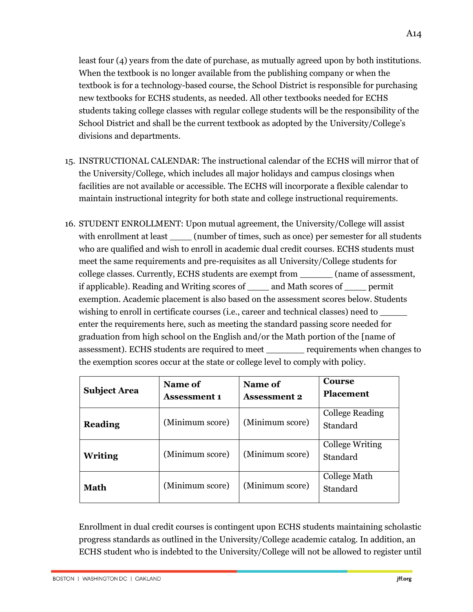least four (4) years from the date of purchase, as mutually agreed upon by both institutions. When the textbook is no longer available from the publishing company or when the textbook is for a technology-based course, the School District is responsible for purchasing new textbooks for ECHS students, as needed. All other textbooks needed for ECHS students taking college classes with regular college students will be the responsibility of the School District and shall be the current textbook as adopted by the University/College's divisions and departments.

- 15. INSTRUCTIONAL CALENDAR: The instructional calendar of the ECHS will mirror that of the University/College, which includes all major holidays and campus closings when facilities are not available or accessible. The ECHS will incorporate a flexible calendar to maintain instructional integrity for both state and college instructional requirements.
- 16. STUDENT ENROLLMENT: Upon mutual agreement, the University/College will assist with enrollment at least (number of times, such as once) per semester for all students who are qualified and wish to enroll in academic dual credit courses. ECHS students must meet the same requirements and pre-requisites as all University/College students for college classes. Currently, ECHS students are exempt from \_\_\_\_\_\_ (name of assessment, if applicable). Reading and Writing scores of \_\_\_\_ and Math scores of \_\_\_\_ permit exemption. Academic placement is also based on the assessment scores below. Students wishing to enroll in certificate courses (i.e., career and technical classes) need to enter the requirements here, such as meeting the standard passing score needed for graduation from high school on the English and/or the Math portion of the [name of assessment). ECHS students are required to meet \_\_\_\_\_\_\_ requirements when changes to the exemption scores occur at the state or college level to comply with policy.

| <b>Subject Area</b> | <b>Name of</b><br><b>Assessment 1</b> | Name of<br><b>Assessment 2</b> | <b>Course</b><br><b>Placement</b> |
|---------------------|---------------------------------------|--------------------------------|-----------------------------------|
| <b>Reading</b>      | (Minimum score)                       | (Minimum score)                | College Reading<br>Standard       |
| Writing             | (Minimum score)                       | (Minimum score)                | College Writing<br>Standard       |
| Math                | (Minimum score)                       | (Minimum score)                | College Math<br>Standard          |

Enrollment in dual credit courses is contingent upon ECHS students maintaining scholastic progress standards as outlined in the University/College academic catalog. In addition, an ECHS student who is indebted to the University/College will not be allowed to register until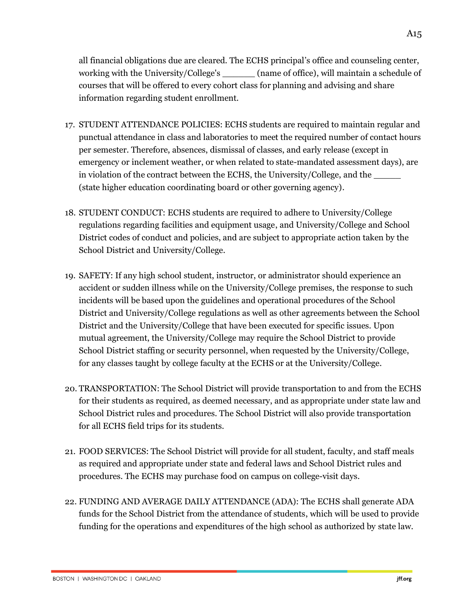all financial obligations due are cleared. The ECHS principal's office and counseling center, working with the University/College's (name of office), will maintain a schedule of courses that will be offered to every cohort class for planning and advising and share information regarding student enrollment.

- 17. STUDENT ATTENDANCE POLICIES: ECHS students are required to maintain regular and punctual attendance in class and laboratories to meet the required number of contact hours per semester. Therefore, absences, dismissal of classes, and early release (except in emergency or inclement weather, or when related to state-mandated assessment days), are in violation of the contract between the ECHS, the University/College, and the (state higher education coordinating board or other governing agency).
- 18. STUDENT CONDUCT: ECHS students are required to adhere to University/College regulations regarding facilities and equipment usage, and University/College and School District codes of conduct and policies, and are subject to appropriate action taken by the School District and University/College.
- 19. SAFETY: If any high school student, instructor, or administrator should experience an accident or sudden illness while on the University/College premises, the response to such incidents will be based upon the guidelines and operational procedures of the School District and University/College regulations as well as other agreements between the School District and the University/College that have been executed for specific issues. Upon mutual agreement, the University/College may require the School District to provide School District staffing or security personnel, when requested by the University/College, for any classes taught by college faculty at the ECHS or at the University/College.
- 20. TRANSPORTATION: The School District will provide transportation to and from the ECHS for their students as required, as deemed necessary, and as appropriate under state law and School District rules and procedures. The School District will also provide transportation for all ECHS field trips for its students.
- 21. FOOD SERVICES: The School District will provide for all student, faculty, and staff meals as required and appropriate under state and federal laws and School District rules and procedures. The ECHS may purchase food on campus on college-visit days.
- 22. FUNDING AND AVERAGE DAILY ATTENDANCE (ADA): The ECHS shall generate ADA funds for the School District from the attendance of students, which will be used to provide funding for the operations and expenditures of the high school as authorized by state law.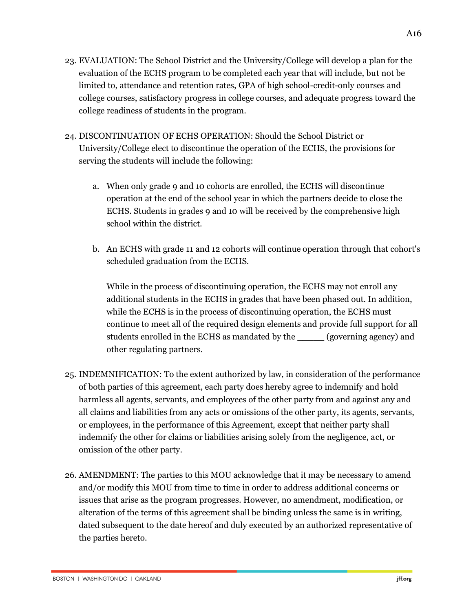- 23. EVALUATION: The School District and the University/College will develop a plan for the evaluation of the ECHS program to be completed each year that will include, but not be limited to, attendance and retention rates, GPA of high school-credit-only courses and college courses, satisfactory progress in college courses, and adequate progress toward the college readiness of students in the program.
- 24. DISCONTINUATION OF ECHS OPERATION: Should the School District or University/College elect to discontinue the operation of the ECHS, the provisions for serving the students will include the following:
	- a. When only grade 9 and 10 cohorts are enrolled, the ECHS will discontinue operation at the end of the school year in which the partners decide to close the ECHS. Students in grades 9 and 10 will be received by the comprehensive high school within the district.
	- b. An ECHS with grade 11 and 12 cohorts will continue operation through that cohort's scheduled graduation from the ECHS.

While in the process of discontinuing operation, the ECHS may not enroll any additional students in the ECHS in grades that have been phased out. In addition, while the ECHS is in the process of discontinuing operation, the ECHS must continue to meet all of the required design elements and provide full support for all students enrolled in the ECHS as mandated by the \_\_\_\_\_ (governing agency) and other regulating partners.

- 25. INDEMNIFICATION: To the extent authorized by law, in consideration of the performance of both parties of this agreement, each party does hereby agree to indemnify and hold harmless all agents, servants, and employees of the other party from and against any and all claims and liabilities from any acts or omissions of the other party, its agents, servants, or employees, in the performance of this Agreement, except that neither party shall indemnify the other for claims or liabilities arising solely from the negligence, act, or omission of the other party.
- 26. AMENDMENT: The parties to this MOU acknowledge that it may be necessary to amend and/or modify this MOU from time to time in order to address additional concerns or issues that arise as the program progresses. However, no amendment, modification, or alteration of the terms of this agreement shall be binding unless the same is in writing, dated subsequent to the date hereof and duly executed by an authorized representative of the parties hereto.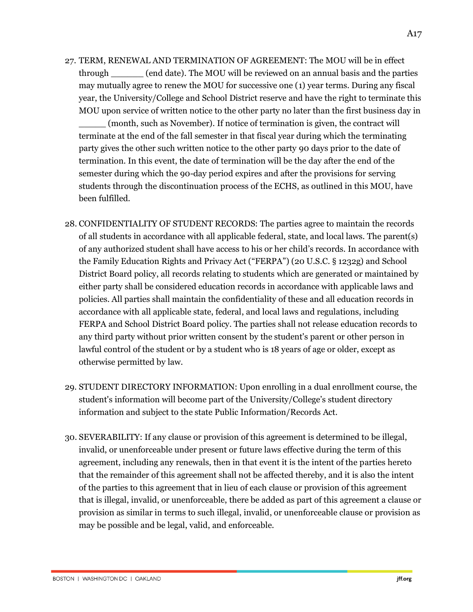- 27. TERM, RENEWAL AND TERMINATION OF AGREEMENT: The MOU will be in effect through \_\_\_\_\_\_ (end date). The MOU will be reviewed on an annual basis and the parties may mutually agree to renew the MOU for successive one (1) year terms. During any fiscal year, the University/College and School District reserve and have the right to terminate this MOU upon service of written notice to the other party no later than the first business day in \_\_\_\_\_ (month, such as November). If notice of termination is given, the contract will terminate at the end of the fall semester in that fiscal year during which the terminating party gives the other such written notice to the other party 90 days prior to the date of termination. In this event, the date of termination will be the day after the end of the semester during which the 90-day period expires and after the provisions for serving students through the discontinuation process of the ECHS, as outlined in this MOU, have been fulfilled.
- 28. CONFIDENTIALITY OF STUDENT RECORDS: The parties agree to maintain the records of all students in accordance with all applicable federal, state, and local laws. The parent(s) of any authorized student shall have access to his or her child's records. In accordance with the Family Education Rights and Privacy Act ("FERPA") (20 U.S.C. § 1232g) and School District Board policy, all records relating to students which are generated or maintained by either party shall be considered education records in accordance with applicable laws and policies. All parties shall maintain the confidentiality of these and all education records in accordance with all applicable state, federal, and local laws and regulations, including FERPA and School District Board policy. The parties shall not release education records to any third party without prior written consent by the student's parent or other person in lawful control of the student or by a student who is 18 years of age or older, except as otherwise permitted by law.
- 29. STUDENT DIRECTORY INFORMATION: Upon enrolling in a dual enrollment course, the student's information will become part of the University/College's student directory information and subject to the state Public Information/Records Act.
- 30. SEVERABILITY: If any clause or provision of this agreement is determined to be illegal, invalid, or unenforceable under present or future laws effective during the term of this agreement, including any renewals, then in that event it is the intent of the parties hereto that the remainder of this agreement shall not be affected thereby, and it is also the intent of the parties to this agreement that in lieu of each clause or provision of this agreement that is illegal, invalid, or unenforceable, there be added as part of this agreement a clause or provision as similar in terms to such illegal, invalid, or unenforceable clause or provision as may be possible and be legal, valid, and enforceable.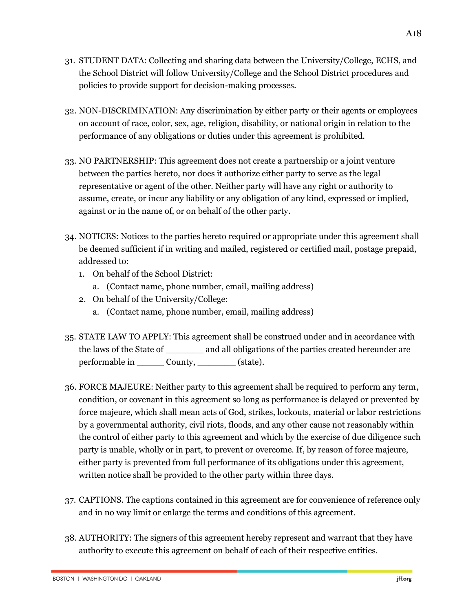- 31. STUDENT DATA: Collecting and sharing data between the University/College, ECHS, and the School District will follow University/College and the School District procedures and policies to provide support for decision-making processes.
- 32. NON-DISCRIMINATION: Any discrimination by either party or their agents or employees on account of race, color, sex, age, religion, disability, or national origin in relation to the performance of any obligations or duties under this agreement is prohibited.
- 33. NO PARTNERSHIP: This agreement does not create a partnership or a joint venture between the parties hereto, nor does it authorize either party to serve as the legal representative or agent of the other. Neither party will have any right or authority to assume, create, or incur any liability or any obligation of any kind, expressed or implied, against or in the name of, or on behalf of the other party.
- 34. NOTICES: Notices to the parties hereto required or appropriate under this agreement shall be deemed sufficient if in writing and mailed, registered or certified mail, postage prepaid, addressed to:
	- 1. On behalf of the School District:
		- a. (Contact name, phone number, email, mailing address)
	- 2. On behalf of the University/College:
		- a. (Contact name, phone number, email, mailing address)
- 35. STATE LAW TO APPLY: This agreement shall be construed under and in accordance with the laws of the State of and all obligations of the parties created hereunder are performable in County, (state).
- 36. FORCE MAJEURE: Neither party to this agreement shall be required to perform any term, condition, or covenant in this agreement so long as performance is delayed or prevented by force majeure, which shall mean acts of God, strikes, lockouts, material or labor restrictions by a governmental authority, civil riots, floods, and any other cause not reasonably within the control of either party to this agreement and which by the exercise of due diligence such party is unable, wholly or in part, to prevent or overcome. If, by reason of force majeure, either party is prevented from full performance of its obligations under this agreement, written notice shall be provided to the other party within three days.
- 37. CAPTIONS. The captions contained in this agreement are for convenience of reference only and in no way limit or enlarge the terms and conditions of this agreement.
- 38. AUTHORITY: The signers of this agreement hereby represent and warrant that they have authority to execute this agreement on behalf of each of their respective entities.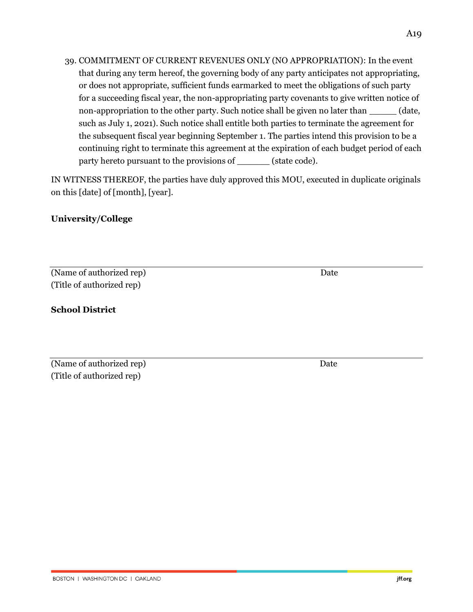39. COMMITMENT OF CURRENT REVENUES ONLY (NO APPROPRIATION): In the event that during any term hereof, the governing body of any party anticipates not appropriating, or does not appropriate, sufficient funds earmarked to meet the obligations of such party for a succeeding fiscal year, the non-appropriating party covenants to give written notice of non-appropriation to the other party. Such notice shall be given no later than \_\_\_\_\_\_ (date, such as July 1, 2021). Such notice shall entitle both parties to terminate the agreement for the subsequent fiscal year beginning September 1. The parties intend this provision to be a continuing right to terminate this agreement at the expiration of each budget period of each party hereto pursuant to the provisions of \_\_\_\_\_\_\_ (state code).

IN WITNESS THEREOF, the parties have duly approved this MOU, executed in duplicate originals on this [date] of [month], [year].

# **University/College**

(Name of authorized rep) Date (Title of authorized rep)

# **School District**

(Name of authorized rep) Date (Title of authorized rep)

jff.org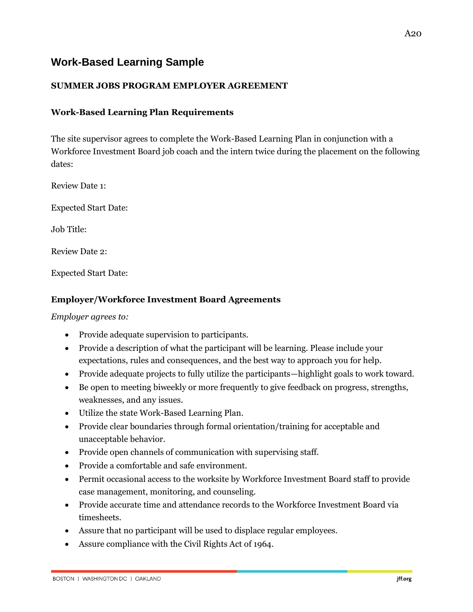# **Work-Based Learning Sample**

# **SUMMER JOBS PROGRAM EMPLOYER AGREEMENT**

### **Work-Based Learning Plan Requirements**

The site supervisor agrees to complete the Work-Based Learning Plan in conjunction with a Workforce Investment Board job coach and the intern twice during the placement on the following dates:

Review Date 1:

Expected Start Date:

Job Title:

Review Date 2:

Expected Start Date:

#### **Employer/Workforce Investment Board Agreements**

*Employer agrees to:*

- Provide adequate supervision to participants.
- Provide a description of what the participant will be learning. Please include your expectations, rules and consequences, and the best way to approach you for help.
- Provide adequate projects to fully utilize the participants—highlight goals to work toward.
- Be open to meeting biweekly or more frequently to give feedback on progress, strengths, weaknesses, and any issues.
- Utilize the state Work-Based Learning Plan.
- Provide clear boundaries through formal orientation/training for acceptable and unacceptable behavior.
- Provide open channels of communication with supervising staff.
- Provide a comfortable and safe environment.
- Permit occasional access to the worksite by Workforce Investment Board staff to provide case management, monitoring, and counseling.
- Provide accurate time and attendance records to the Workforce Investment Board via timesheets.
- Assure that no participant will be used to displace regular employees.
- Assure compliance with the Civil Rights Act of 1964.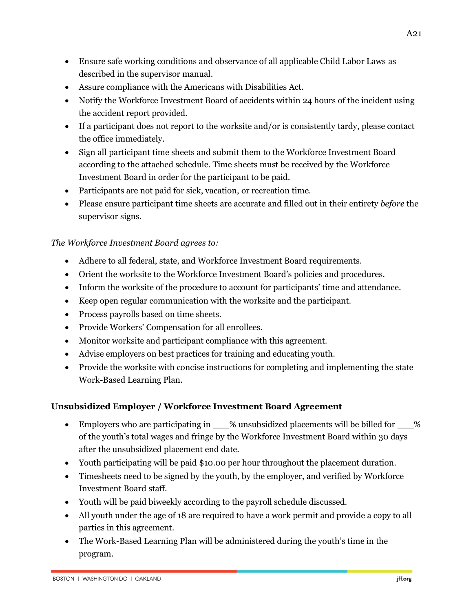- Ensure safe working conditions and observance of all applicable Child Labor Laws as described in the supervisor manual.
- Assure compliance with the Americans with Disabilities Act.
- Notify the Workforce Investment Board of accidents within 24 hours of the incident using the accident report provided.
- If a participant does not report to the worksite and/or is consistently tardy, please contact the office immediately.
- Sign all participant time sheets and submit them to the Workforce Investment Board according to the attached schedule. Time sheets must be received by the Workforce Investment Board in order for the participant to be paid.
- Participants are not paid for sick, vacation, or recreation time.
- Please ensure participant time sheets are accurate and filled out in their entirety *before* the supervisor signs.

# *The Workforce Investment Board agrees to:*

- Adhere to all federal, state, and Workforce Investment Board requirements.
- Orient the worksite to the Workforce Investment Board's policies and procedures.
- Inform the worksite of the procedure to account for participants' time and attendance.
- Keep open regular communication with the worksite and the participant.
- Process payrolls based on time sheets.
- Provide Workers' Compensation for all enrollees.
- Monitor worksite and participant compliance with this agreement.
- Advise employers on best practices for training and educating youth.
- Provide the worksite with concise instructions for completing and implementing the state Work-Based Learning Plan.

# **Unsubsidized Employer / Workforce Investment Board Agreement**

- Employers who are participating in  $\_\_\%$  unsubsidized placements will be billed for  $\_\_\%$ of the youth's total wages and fringe by the Workforce Investment Board within 30 days after the unsubsidized placement end date.
- Youth participating will be paid \$10.00 per hour throughout the placement duration.
- Timesheets need to be signed by the youth, by the employer, and verified by Workforce Investment Board staff.
- Youth will be paid biweekly according to the payroll schedule discussed.
- All youth under the age of 18 are required to have a work permit and provide a copy to all parties in this agreement.
- The Work-Based Learning Plan will be administered during the youth's time in the program.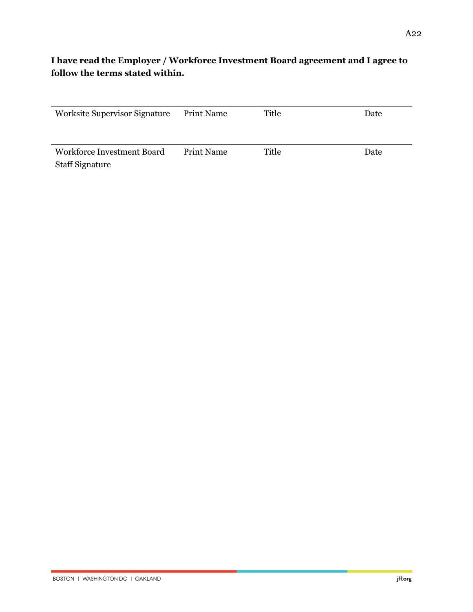# **I have read the Employer / Workforce Investment Board agreement and I agree to follow the terms stated within.**

| <b>Worksite Supervisor Signature</b> | <b>Print Name</b> | Title | Date |
|--------------------------------------|-------------------|-------|------|
|                                      |                   |       |      |
|                                      |                   |       |      |
| Workforce Investment Board           | Print Name        | Title | Date |
| <b>Staff Signature</b>               |                   |       |      |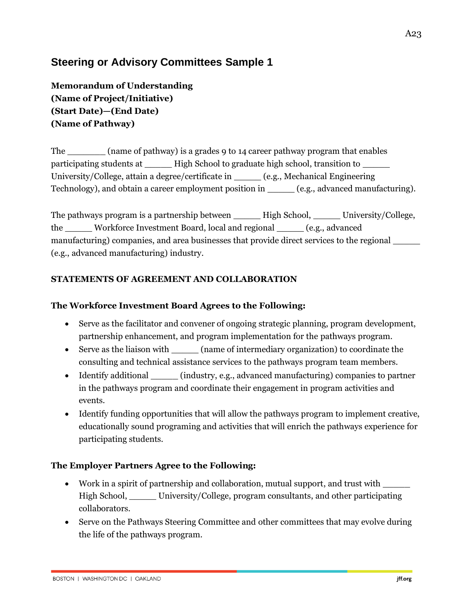# **Steering or Advisory Committees Sample 1**

**Memorandum of Understanding (Name of Project/Initiative) (Start Date)—(End Date) (Name of Pathway)**

The \_\_\_\_\_\_\_ (name of pathway) is a grades 9 to 14 career pathway program that enables participating students at \_\_\_\_\_\_\_ High School to graduate high school, transition to \_\_\_\_\_\_\_ University/College, attain a degree/certificate in \_\_\_\_\_ (e.g., Mechanical Engineering Technology), and obtain a career employment position in \_\_\_\_\_\_ (e.g., advanced manufacturing).

The pathways program is a partnership between \_\_\_\_\_\_\_ High School, \_\_\_\_\_\_ University/College, the \_\_\_\_\_ Workforce Investment Board, local and regional \_\_\_\_\_ (e.g., advanced manufacturing) companies, and area businesses that provide direct services to the regional \_\_\_\_\_\_ (e.g., advanced manufacturing) industry.

# **STATEMENTS OF AGREEMENT AND COLLABORATION**

### **The Workforce Investment Board Agrees to the Following:**

- Serve as the facilitator and convener of ongoing strategic planning, program development, partnership enhancement, and program implementation for the pathways program.
- Serve as the liaison with (name of intermediary organization) to coordinate the consulting and technical assistance services to the pathways program team members.
- Identify additional (industry, e.g., advanced manufacturing) companies to partner in the pathways program and coordinate their engagement in program activities and events.
- Identify funding opportunities that will allow the pathways program to implement creative, educationally sound programing and activities that will enrich the pathways experience for participating students.

# **The Employer Partners Agree to the Following:**

- Work in a spirit of partnership and collaboration, mutual support, and trust with \_\_\_\_\_ High School, \_\_\_\_\_ University/College, program consultants, and other participating collaborators.
- Serve on the Pathways Steering Committee and other committees that may evolve during the life of the pathways program.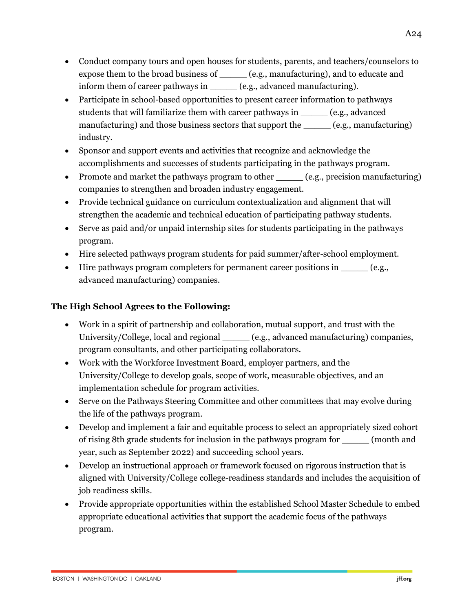- Conduct company tours and open houses for students, parents, and teachers/counselors to expose them to the broad business of \_\_\_\_\_ (e.g., manufacturing), and to educate and inform them of career pathways in  $(e.g., advanced manufacturing)$ .
- Participate in school-based opportunities to present career information to pathways students that will familiarize them with career pathways in \_\_\_\_\_ (e.g., advanced manufacturing) and those business sectors that support the \_\_\_\_\_\_(e.g., manufacturing) industry.
- Sponsor and support events and activities that recognize and acknowledge the accomplishments and successes of students participating in the pathways program.
- Promote and market the pathways program to other (e.g., precision manufacturing) companies to strengthen and broaden industry engagement.
- Provide technical guidance on curriculum contextualization and alignment that will strengthen the academic and technical education of participating pathway students.
- Serve as paid and/or unpaid internship sites for students participating in the pathways program.
- Hire selected pathways program students for paid summer/after-school employment.
- Hire pathways program completers for permanent career positions in  $\qquad \qquad$  (e.g., advanced manufacturing) companies.

# **The High School Agrees to the Following:**

- Work in a spirit of partnership and collaboration, mutual support, and trust with the University/College, local and regional (e.g., advanced manufacturing) companies, program consultants, and other participating collaborators.
- Work with the Workforce Investment Board, employer partners, and the University/College to develop goals, scope of work, measurable objectives, and an implementation schedule for program activities.
- Serve on the Pathways Steering Committee and other committees that may evolve during the life of the pathways program.
- Develop and implement a fair and equitable process to select an appropriately sized cohort of rising 8th grade students for inclusion in the pathways program for \_\_\_\_\_ (month and year, such as September 2022) and succeeding school years.
- Develop an instructional approach or framework focused on rigorous instruction that is aligned with University/College college-readiness standards and includes the acquisition of job readiness skills.
- Provide appropriate opportunities within the established School Master Schedule to embed appropriate educational activities that support the academic focus of the pathways program.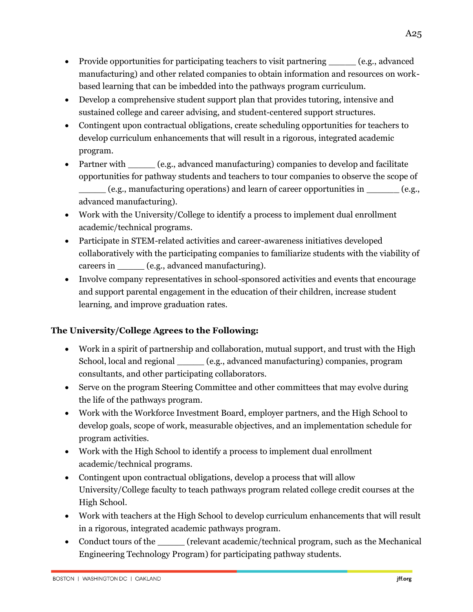- Provide opportunities for participating teachers to visit partnering \_\_\_\_\_\_\_ (e.g., advanced manufacturing) and other related companies to obtain information and resources on workbased learning that can be imbedded into the pathways program curriculum.
- Develop a comprehensive student support plan that provides tutoring, intensive and sustained college and career advising, and student-centered support structures.
- Contingent upon contractual obligations, create scheduling opportunities for teachers to develop curriculum enhancements that will result in a rigorous, integrated academic program.
- Partner with (e.g., advanced manufacturing) companies to develop and facilitate opportunities for pathway students and teachers to tour companies to observe the scope of \_\_\_\_\_ (e.g., manufacturing operations) and learn of career opportunities in \_\_\_\_\_\_ (e.g., advanced manufacturing).
- Work with the University/College to identify a process to implement dual enrollment academic/technical programs.
- Participate in STEM-related activities and career-awareness initiatives developed collaboratively with the participating companies to familiarize students with the viability of careers in  $(e.g., advanced manufacturing)$ .
- Involve company representatives in school-sponsored activities and events that encourage and support parental engagement in the education of their children, increase student learning, and improve graduation rates.

# **The University/College Agrees to the Following:**

- Work in a spirit of partnership and collaboration, mutual support, and trust with the High School, local and regional \_\_\_\_\_ (e.g., advanced manufacturing) companies, program consultants, and other participating collaborators.
- Serve on the program Steering Committee and other committees that may evolve during the life of the pathways program.
- Work with the Workforce Investment Board, employer partners, and the High School to develop goals, scope of work, measurable objectives, and an implementation schedule for program activities.
- Work with the High School to identify a process to implement dual enrollment academic/technical programs.
- Contingent upon contractual obligations, develop a process that will allow University/College faculty to teach pathways program related college credit courses at the High School.
- Work with teachers at the High School to develop curriculum enhancements that will result in a rigorous, integrated academic pathways program.
- Conduct tours of the critical critical program, such as the Mechanical critical program, such as the Mechanical Engineering Technology Program) for participating pathway students.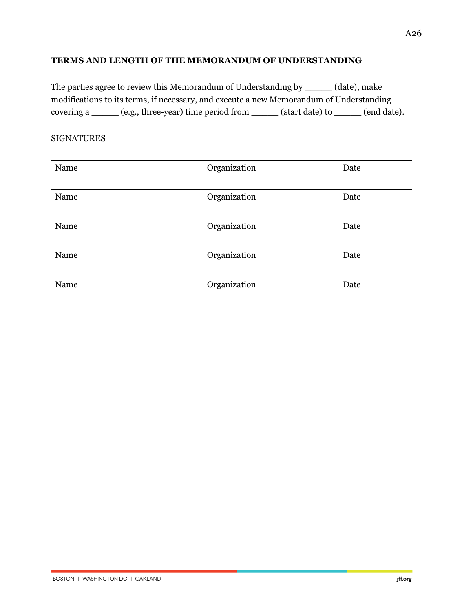#### **TERMS AND LENGTH OF THE MEMORANDUM OF UNDERSTANDING**

The parties agree to review this Memorandum of Understanding by \_\_\_\_\_ (date), make modifications to its terms, if necessary, and execute a new Memorandum of Understanding covering a \_\_\_\_\_ (e.g., three-year) time period from \_\_\_\_\_ (start date) to \_\_\_\_\_ (end date).

#### SIGNATURES

| Name | Organization | Date |
|------|--------------|------|
| Name | Organization | Date |
| Name | Organization | Date |
| Name | Organization | Date |
| Name | Organization | Date |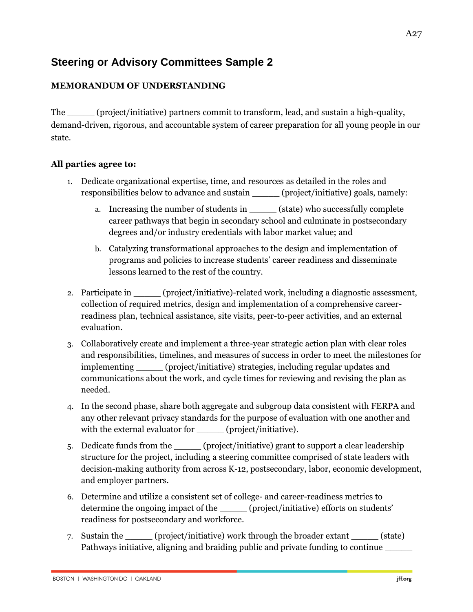# **Steering or Advisory Committees Sample 2**

# **MEMORANDUM OF UNDERSTANDING**

The \_\_\_\_\_ (project/initiative) partners commit to transform, lead, and sustain a high-quality, demand-driven, rigorous, and accountable system of career preparation for all young people in our state.

# **All parties agree to:**

- 1. Dedicate organizational expertise, time, and resources as detailed in the roles and responsibilities below to advance and sustain (project/initiative) goals, namely:
	- a. Increasing the number of students in (state) who successfully complete career pathways that begin in secondary school and culminate in postsecondary degrees and/or industry credentials with labor market value; and
	- b. Catalyzing transformational approaches to the design and implementation of programs and policies to increase students' career readiness and disseminate lessons learned to the rest of the country.
- 2. Participate in \_\_\_\_\_\_ (project/initiative)-related work, including a diagnostic assessment, collection of required metrics, design and implementation of a comprehensive careerreadiness plan, technical assistance, site visits, peer-to-peer activities, and an external evaluation.
- 3. Collaboratively create and implement a three-year strategic action plan with clear roles and responsibilities, timelines, and measures of success in order to meet the milestones for implementing \_\_\_\_\_ (project/initiative) strategies, including regular updates and communications about the work, and cycle times for reviewing and revising the plan as needed.
- 4. In the second phase, share both aggregate and subgroup data consistent with FERPA and any other relevant privacy standards for the purpose of evaluation with one another and with the external evaluator for \_\_\_\_\_\_ (project/initiative).
- 5. Dedicate funds from the \_\_\_\_\_ (project/initiative) grant to support a clear leadership structure for the project, including a steering committee comprised of state leaders with decision-making authority from across K-12, postsecondary, labor, economic development, and employer partners.
- 6. Determine and utilize a consistent set of college- and career-readiness metrics to determine the ongoing impact of the \_\_\_\_\_ (project/initiative) efforts on students' readiness for postsecondary and workforce.
- 7. Sustain the \_\_\_\_\_ (project/initiative) work through the broader extant \_\_\_\_\_ (state) Pathways initiative, aligning and braiding public and private funding to continue  $\equiv$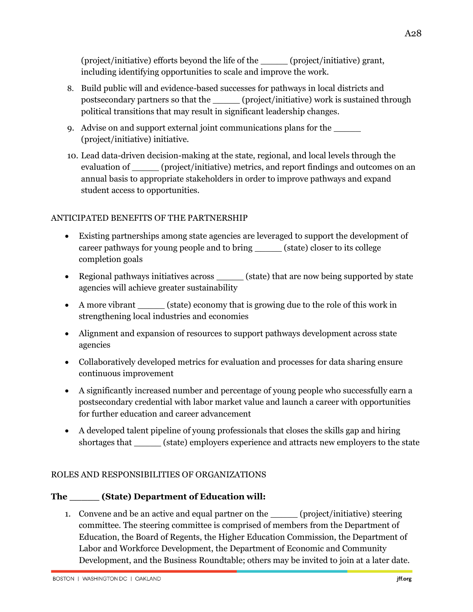(project/initiative) efforts beyond the life of the \_\_\_\_\_ (project/initiative) grant, including identifying opportunities to scale and improve the work.

- 8. Build public will and evidence-based successes for pathways in local districts and postsecondary partners so that the \_\_\_\_\_ (project/initiative) work is sustained through political transitions that may result in significant leadership changes.
- 9. Advise on and support external joint communications plans for the \_\_\_\_\_ (project/initiative) initiative.
- 10. Lead data-driven decision-making at the state, regional, and local levels through the evaluation of  $(project/inititative)$  metrics, and report findings and outcomes on an annual basis to appropriate stakeholders in order to improve pathways and expand student access to opportunities.

# ANTICIPATED BENEFITS OF THE PARTNERSHIP

- Existing partnerships among state agencies are leveraged to support the development of career pathways for young people and to bring \_\_\_\_\_ (state) closer to its college completion goals
- Regional pathways initiatives across \_\_\_\_\_\_ (state) that are now being supported by state agencies will achieve greater sustainability
- A more vibrant \_\_\_\_\_\_\_ (state) economy that is growing due to the role of this work in strengthening local industries and economies
- Alignment and expansion of resources to support pathways development across state agencies
- Collaboratively developed metrics for evaluation and processes for data sharing ensure continuous improvement
- A significantly increased number and percentage of young people who successfully earn a postsecondary credential with labor market value and launch a career with opportunities for further education and career advancement
- A developed talent pipeline of young professionals that closes the skills gap and hiring shortages that \_\_\_\_\_ (state) employers experience and attracts new employers to the state

# ROLES AND RESPONSIBILITIES OF ORGANIZATIONS

# **The \_\_\_\_\_ (State) Department of Education will:**

1. Convene and be an active and equal partner on the \_\_\_\_\_\_ (project/initiative) steering committee. The steering committee is comprised of members from the Department of Education, the Board of Regents, the Higher Education Commission, the Department of Labor and Workforce Development, the Department of Economic and Community Development, and the Business Roundtable; others may be invited to join at a later date.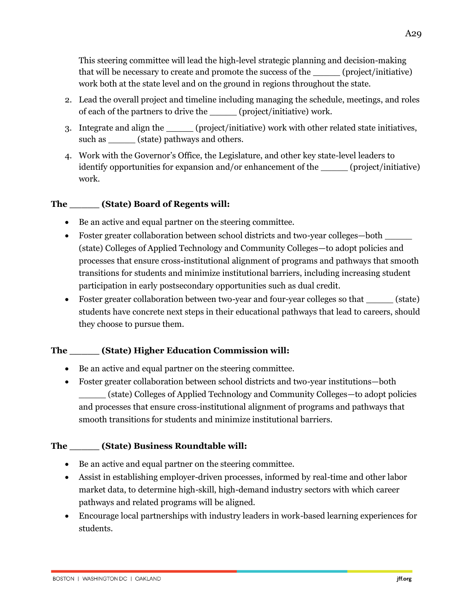This steering committee will lead the high-level strategic planning and decision-making that will be necessary to create and promote the success of the \_\_\_\_\_ (project/initiative) work both at the state level and on the ground in regions throughout the state.

- 2. Lead the overall project and timeline including managing the schedule, meetings, and roles of each of the partners to drive the  $(project/inititative)$  work.
- 3. Integrate and align the \_\_\_\_\_\_ (project/initiative) work with other related state initiatives, such as \_\_\_\_\_\_ (state) pathways and others.
- 4. Work with the Governor's Office, the Legislature, and other key state-level leaders to identify opportunities for expansion and/or enhancement of the correct/initiative) work.

# **The \_\_\_\_\_ (State) Board of Regents will:**

- Be an active and equal partner on the steering committee.
- Foster greater collaboration between school districts and two-year colleges—both (state) Colleges of Applied Technology and Community Colleges—to adopt policies and processes that ensure cross-institutional alignment of programs and pathways that smooth transitions for students and minimize institutional barriers, including increasing student participation in early postsecondary opportunities such as dual credit.
- Foster greater collaboration between two-year and four-year colleges so that (state) students have concrete next steps in their educational pathways that lead to careers, should they choose to pursue them.

# **The \_\_\_\_\_ (State) Higher Education Commission will:**

- Be an active and equal partner on the steering committee.
- Foster greater collaboration between school districts and two-year institutions—both \_\_\_\_\_ (state) Colleges of Applied Technology and Community Colleges—to adopt policies and processes that ensure cross-institutional alignment of programs and pathways that smooth transitions for students and minimize institutional barriers.

# **The \_\_\_\_\_ (State) Business Roundtable will:**

- Be an active and equal partner on the steering committee.
- Assist in establishing employer-driven processes, informed by real-time and other labor market data, to determine high-skill, high-demand industry sectors with which career pathways and related programs will be aligned.
- Encourage local partnerships with industry leaders in work-based learning experiences for students.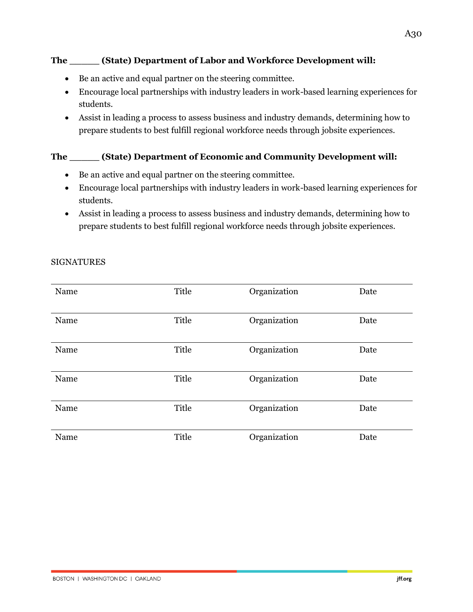# **The \_\_\_\_\_ (State) Department of Labor and Workforce Development will:**

- Be an active and equal partner on the steering committee.
- Encourage local partnerships with industry leaders in work-based learning experiences for students.
- Assist in leading a process to assess business and industry demands, determining how to prepare students to best fulfill regional workforce needs through jobsite experiences.

# **The \_\_\_\_\_ (State) Department of Economic and Community Development will:**

- Be an active and equal partner on the steering committee.
- Encourage local partnerships with industry leaders in work-based learning experiences for students.
- Assist in leading a process to assess business and industry demands, determining how to prepare students to best fulfill regional workforce needs through jobsite experiences.

| Name | Title | Organization | Date |
|------|-------|--------------|------|
| Name | Title | Organization | Date |
| Name | Title | Organization | Date |
| Name | Title | Organization | Date |
| Name | Title | Organization | Date |
| Name | Title | Organization | Date |

#### SIGNATURES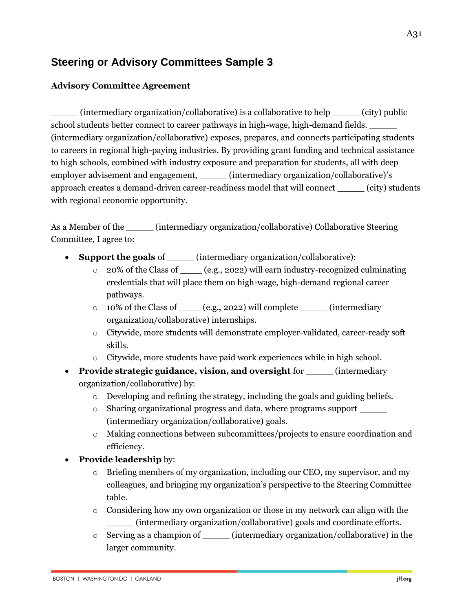# **Steering or Advisory Committees Sample 3**

# **Advisory Committee Agreement**

 $(intermediary organization/collaborative)$  is a collaborative to help  $(city)$  public school students better connect to career pathways in high-wage, high-demand fields. \_\_\_\_\_ (intermediary organization/collaborative) exposes, prepares, and connects participating students to careers in regional high-paying industries. By providing grant funding and technical assistance to high schools, combined with industry exposure and preparation for students, all with deep employer advisement and engagement, \_\_\_\_\_\_ (intermediary organization/collaborative)'s approach creates a demand-driven career-readiness model that will connect \_\_\_\_\_ (city) students with regional economic opportunity.

As a Member of the contact the contact (intermediary organization/collaborative) Collaborative Steering Committee, I agree to:

- **Support the goals** of \_\_\_\_\_ (intermediary organization/collaborative):
	- 20% of the Class of  $\qquad \qquad$  (e.g., 2022) will earn industry-recognized culminating credentials that will place them on high-wage, high-demand regional career pathways.
	- o 10% of the Class of \_\_\_\_ (e.g., 2022) will complete \_\_\_\_\_ (intermediary organization/collaborative) internships.
	- o Citywide, more students will demonstrate employer-validated, career-ready soft skills.
	- o Citywide, more students have paid work experiences while in high school.
- **Provide strategic guidance, vision, and oversight** for \_\_\_\_\_ (intermediary organization/collaborative) by:
	- $\circ$  Developing and refining the strategy, including the goals and guiding beliefs.
	- o Sharing organizational progress and data, where programs support \_\_\_\_\_ (intermediary organization/collaborative) goals.
	- o Making connections between subcommittees/projects to ensure coordination and efficiency.

# • **Provide leadership** by:

- Briefing members of my organization, including our CEO, my supervisor, and my colleagues, and bringing my organization's perspective to the Steering Committee table.
- o Considering how my own organization or those in my network can align with the \_\_\_\_\_ (intermediary organization/collaborative) goals and coordinate efforts.
- o Serving as a champion of \_\_\_\_\_ (intermediary organization/collaborative) in the larger community.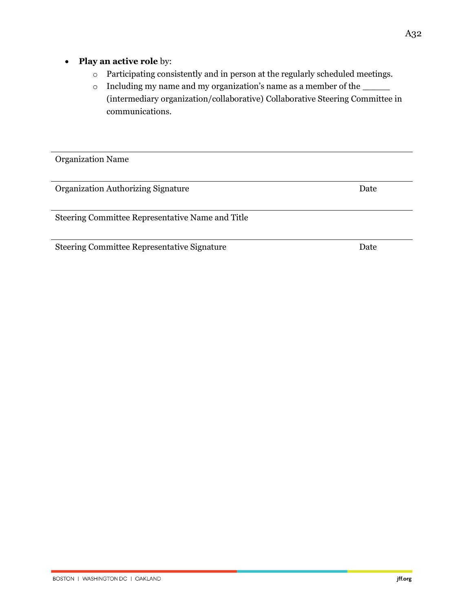# • **Play an active role** by:

- o Participating consistently and in person at the regularly scheduled meetings.
- o Including my name and my organization's name as a member of the \_\_\_\_\_ (intermediary organization/collaborative) Collaborative Steering Committee in communications.

Organization Name

Organization Authorizing Signature **Date** 

Steering Committee Representative Name and Title

Steering Committee Representative Signature Date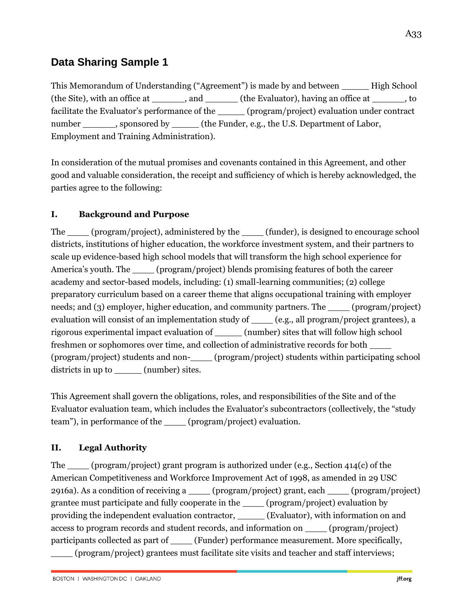# **Data Sharing Sample 1**

This Memorandum of Understanding ("Agreement") is made by and between \_\_\_\_\_ High School (the Site), with an office at \_\_\_\_\_\_, and \_\_\_\_\_\_ (the Evaluator), having an office at \_\_\_\_\_\_, to facilitate the Evaluator's performance of the \_\_\_\_\_ (program/project) evaluation under contract number sponsored by the Funder, e.g., the U.S. Department of Labor, Employment and Training Administration).

In consideration of the mutual promises and covenants contained in this Agreement, and other good and valuable consideration, the receipt and sufficiency of which is hereby acknowledged, the parties agree to the following:

# **I. Background and Purpose**

The (program/project), administered by the (funder), is designed to encourage school districts, institutions of higher education, the workforce investment system, and their partners to scale up evidence-based high school models that will transform the high school experience for America's youth. The \_\_\_\_ (program/project) blends promising features of both the career academy and sector-based models, including: (1) small-learning communities; (2) college preparatory curriculum based on a career theme that aligns occupational training with employer needs; and (3) employer, higher education, and community partners. The (program/project) evaluation will consist of an implementation study of \_\_\_\_\_ (e.g., all program/project grantees), a rigorous experimental impact evaluation of \_\_\_\_\_ (number) sites that will follow high school freshmen or sophomores over time, and collection of administrative records for both \_\_\_\_ (program/project) students and non-\_\_\_\_ (program/project) students within participating school districts in up to \_\_\_\_\_\_ (number) sites.

This Agreement shall govern the obligations, roles, and responsibilities of the Site and of the Evaluator evaluation team, which includes the Evaluator's subcontractors (collectively, the "study team"), in performance of the (program/project) evaluation.

# **II. Legal Authority**

The \_\_\_\_ (program/project) grant program is authorized under (e.g., Section 414(c) of the American Competitiveness and Workforce Improvement Act of 1998, as amended in 29 USC 2916a). As a condition of receiving a \_\_\_\_ (program/project) grant, each \_\_\_\_ (program/project) grantee must participate and fully cooperate in the \_\_\_\_ (program/project) evaluation by providing the independent evaluation contractor, \_\_\_\_\_ (Evaluator), with information on and access to program records and student records, and information on \_\_\_\_ (program/project) participants collected as part of \_\_\_\_ (Funder) performance measurement. More specifically, \_\_\_\_ (program/project) grantees must facilitate site visits and teacher and staff interviews;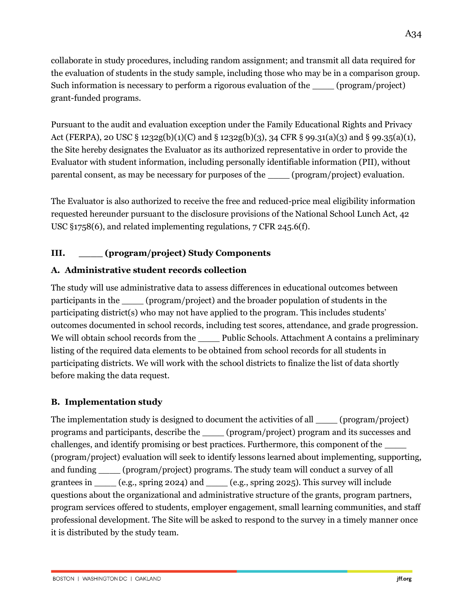collaborate in study procedures, including random assignment; and transmit all data required for the evaluation of students in the study sample, including those who may be in a comparison group. Such information is necessary to perform a rigorous evaluation of the \_\_\_\_ (program/project) grant-funded programs.

Pursuant to the audit and evaluation exception under the Family Educational Rights and Privacy Act (FERPA), 20 USC § 1232g(b)(1)(C) and § 1232g(b)(3), 34 CFR § 99.31(a)(3) and § 99.35(a)(1), the Site hereby designates the Evaluator as its authorized representative in order to provide the Evaluator with student information, including personally identifiable information (PII), without parental consent, as may be necessary for purposes of the (program/project) evaluation.

The Evaluator is also authorized to receive the free and reduced-price meal eligibility information requested hereunder pursuant to the disclosure provisions of the National School Lunch Act, 42 USC §1758(6), and related implementing regulations, 7 CFR 245.6(f).

# **III. \_\_\_\_ (program/project) Study Components**

# **A. Administrative student records collection**

The study will use administrative data to assess differences in educational outcomes between participants in the \_\_\_\_ (program/project) and the broader population of students in the participating district(s) who may not have applied to the program. This includes students' outcomes documented in school records, including test scores, attendance, and grade progression. We will obtain school records from the \_\_\_\_\_ Public Schools. Attachment A contains a preliminary listing of the required data elements to be obtained from school records for all students in participating districts. We will work with the school districts to finalize the list of data shortly before making the data request.

# **B. Implementation study**

The implementation study is designed to document the activities of all (program/project) programs and participants, describe the \_\_\_\_ (program/project) program and its successes and challenges, and identify promising or best practices. Furthermore, this component of the \_\_\_\_ (program/project) evaluation will seek to identify lessons learned about implementing, supporting, and funding \_\_\_\_ (program/project) programs. The study team will conduct a survey of all grantees in \_\_\_\_ (e.g., spring 2024) and \_\_\_\_ (e.g., spring 2025). This survey will include questions about the organizational and administrative structure of the grants, program partners, program services offered to students, employer engagement, small learning communities, and staff professional development. The Site will be asked to respond to the survey in a timely manner once it is distributed by the study team.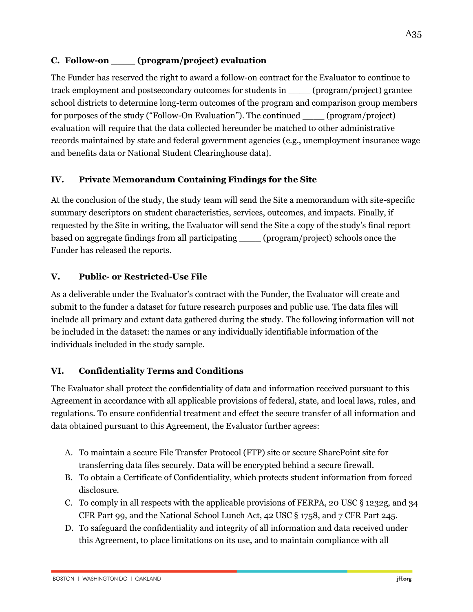# **C. Follow-on \_\_\_\_ (program/project) evaluation**

The Funder has reserved the right to award a follow-on contract for the Evaluator to continue to track employment and postsecondary outcomes for students in \_\_\_\_ (program/project) grantee school districts to determine long-term outcomes of the program and comparison group members for purposes of the study ("Follow-On Evaluation"). The continued (program/project) evaluation will require that the data collected hereunder be matched to other administrative records maintained by state and federal government agencies (e.g., unemployment insurance wage and benefits data or National Student Clearinghouse data).

# **IV. Private Memorandum Containing Findings for the Site**

At the conclusion of the study, the study team will send the Site a memorandum with site-specific summary descriptors on student characteristics, services, outcomes, and impacts. Finally, if requested by the Site in writing, the Evaluator will send the Site a copy of the study's final report based on aggregate findings from all participating \_\_\_\_ (program/project) schools once the Funder has released the reports.

# **V. Public- or Restricted-Use File**

As a deliverable under the Evaluator's contract with the Funder, the Evaluator will create and submit to the funder a dataset for future research purposes and public use. The data files will include all primary and extant data gathered during the study. The following information will not be included in the dataset: the names or any individually identifiable information of the individuals included in the study sample.

#### **VI. Confidentiality Terms and Conditions**

The Evaluator shall protect the confidentiality of data and information received pursuant to this Agreement in accordance with all applicable provisions of federal, state, and local laws, rules, and regulations. To ensure confidential treatment and effect the secure transfer of all information and data obtained pursuant to this Agreement, the Evaluator further agrees:

- A. To maintain a secure File Transfer Protocol (FTP) site or secure SharePoint site for transferring data files securely. Data will be encrypted behind a secure firewall.
- B. To obtain a Certificate of Confidentiality, which protects student information from forced disclosure.
- C. To comply in all respects with the applicable provisions of FERPA, 20 USC § 1232g, and 34 CFR Part 99, and the National School Lunch Act, 42 USC § 1758, and 7 CFR Part 245.
- D. To safeguard the confidentiality and integrity of all information and data received under this Agreement, to place limitations on its use, and to maintain compliance with all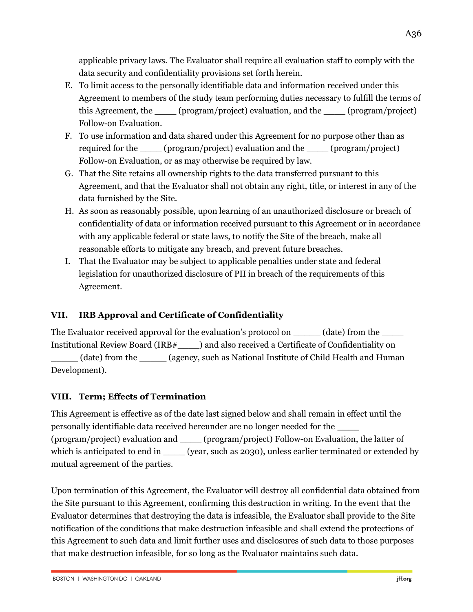applicable privacy laws. The Evaluator shall require all evaluation staff to comply with the data security and confidentiality provisions set forth herein.

- E. To limit access to the personally identifiable data and information received under this Agreement to members of the study team performing duties necessary to fulfill the terms of this Agreement, the \_\_\_\_ (program/project) evaluation, and the \_\_\_\_ (program/project) Follow-on Evaluation.
- F. To use information and data shared under this Agreement for no purpose other than as required for the \_\_\_\_ (program/project) evaluation and the \_\_\_\_ (program/project) Follow-on Evaluation, or as may otherwise be required by law.
- G. That the Site retains all ownership rights to the data transferred pursuant to this Agreement, and that the Evaluator shall not obtain any right, title, or interest in any of the data furnished by the Site.
- H. As soon as reasonably possible, upon learning of an unauthorized disclosure or breach of confidentiality of data or information received pursuant to this Agreement or in accordance with any applicable federal or state laws, to notify the Site of the breach, make all reasonable efforts to mitigate any breach, and prevent future breaches.
- I. That the Evaluator may be subject to applicable penalties under state and federal legislation for unauthorized disclosure of PII in breach of the requirements of this Agreement.

# **VII. IRB Approval and Certificate of Confidentiality**

The Evaluator received approval for the evaluation's protocol on  $(date)$  from the Institutional Review Board (IRB#\_\_\_\_) and also received a Certificate of Confidentiality on

(date) from the (agency, such as National Institute of Child Health and Human Development).

# **VIII. Term; Effects of Termination**

This Agreement is effective as of the date last signed below and shall remain in effect until the personally identifiable data received hereunder are no longer needed for the \_\_\_\_ (program/project) evaluation and \_\_\_\_ (program/project) Follow-on Evaluation, the latter of which is anticipated to end in \_\_\_\_\_ (year, such as 2030), unless earlier terminated or extended by mutual agreement of the parties.

Upon termination of this Agreement, the Evaluator will destroy all confidential data obtained from the Site pursuant to this Agreement, confirming this destruction in writing. In the event that the Evaluator determines that destroying the data is infeasible, the Evaluator shall provide to the Site notification of the conditions that make destruction infeasible and shall extend the protections of this Agreement to such data and limit further uses and disclosures of such data to those purposes that make destruction infeasible, for so long as the Evaluator maintains such data.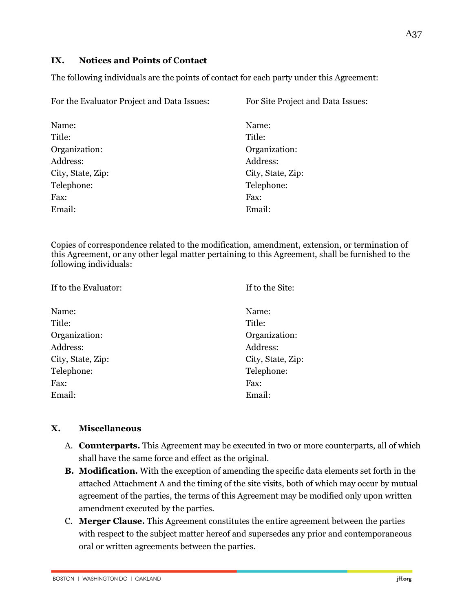# **IX. Notices and Points of Contact**

The following individuals are the points of contact for each party under this Agreement:

| For the Evaluator Project and Data Issues: | For Site Project and Data Issues: |  |
|--------------------------------------------|-----------------------------------|--|
| Name:                                      | Name:                             |  |
| Title:                                     | Title:                            |  |
| Organization:                              | Organization:                     |  |
| Address:                                   | Address:                          |  |
| City, State, Zip:                          | City, State, Zip:                 |  |
| Telephone:                                 | Telephone:                        |  |
| Fax:                                       | Fax:                              |  |
| Email:                                     | Email:                            |  |
|                                            |                                   |  |

Copies of correspondence related to the modification, amendment, extension, or termination of this Agreement, or any other legal matter pertaining to this Agreement, shall be furnished to the following individuals:

| If to the Evaluator: | If to the Site:   |  |
|----------------------|-------------------|--|
| Name:                | Name:             |  |
| Title:               | Title:            |  |
| Organization:        | Organization:     |  |
| Address:             | Address:          |  |
| City, State, Zip:    | City, State, Zip: |  |
| Telephone:           | Telephone:        |  |
| Fax:                 | Fax:              |  |
| Email:               | Email:            |  |

#### **X. Miscellaneous**

- A. **Counterparts.** This Agreement may be executed in two or more counterparts, all of which shall have the same force and effect as the original.
- **B. Modification.** With the exception of amending the specific data elements set forth in the attached Attachment A and the timing of the site visits, both of which may occur by mutual agreement of the parties, the terms of this Agreement may be modified only upon written amendment executed by the parties.
- C. **Merger Clause.** This Agreement constitutes the entire agreement between the parties with respect to the subject matter hereof and supersedes any prior and contemporaneous oral or written agreements between the parties.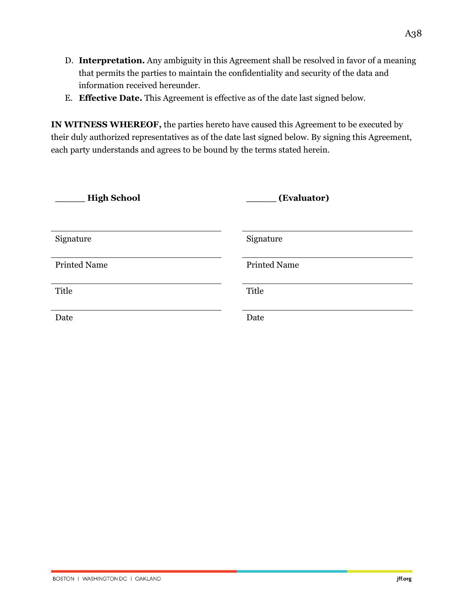- D. **Interpretation.** Any ambiguity in this Agreement shall be resolved in favor of a meaning that permits the parties to maintain the confidentiality and security of the data and information received hereunder.
- E. **Effective Date.** This Agreement is effective as of the date last signed below.

**IN WITNESS WHEREOF,** the parties hereto have caused this Agreement to be executed by their duly authorized representatives as of the date last signed below. By signing this Agreement, each party understands and agrees to be bound by the terms stated herein.

| <b>High School</b>  | (Evaluator)         |
|---------------------|---------------------|
|                     |                     |
| Signature           | Signature           |
| <b>Printed Name</b> | <b>Printed Name</b> |
| Title               | Title               |
| Date                | Date                |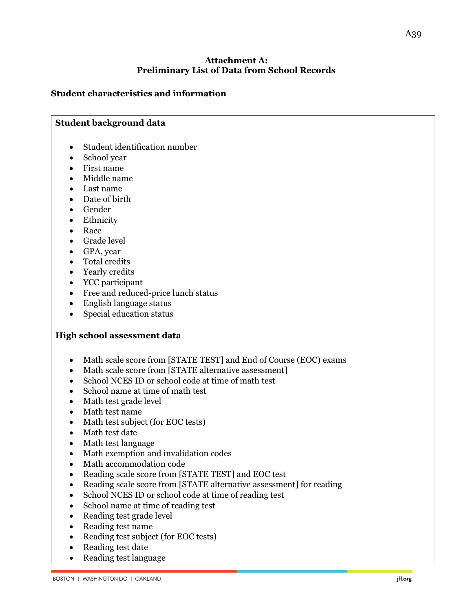# **Attachment A: Preliminary List of Data from School Records**

# **Student characteristics and information**

#### **Student background data**

- Student identification number
- School year
- First name
- Middle name
- Last name
- Date of birth
- Gender
- Ethnicity
- Race
- Grade level
- GPA, year
- Total credits
- Yearly credits
- YCC participant
- Free and reduced-price lunch status
- English language status
- Special education status

#### **High school assessment data**

- Math scale score from [STATE TEST] and End of Course (EOC) exams
- Math scale score from [STATE alternative assessment]
- School NCES ID or school code at time of math test
- School name at time of math test
- Math test grade level
- Math test name
- Math test subject (for EOC tests)
- Math test date
- Math test language
- Math exemption and invalidation codes
- Math accommodation code
- Reading scale score from [STATE TEST] and EOC test
- Reading scale score from [STATE alternative assessment] for reading
- School NCES ID or school code at time of reading test
- School name at time of reading test
- Reading test grade level
- Reading test name
- Reading test subject (for EOC tests)
- Reading test date
- Reading test language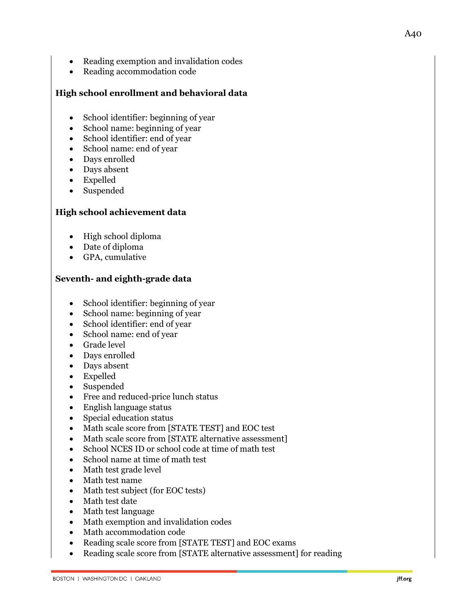- Reading exemption and invalidation codes
- Reading accommodation code

# **High school enrollment and behavioral data**

- School identifier: beginning of year
- School name: beginning of year
- School identifier: end of year
- School name: end of year
- Days enrolled
- Days absent
- Expelled
- Suspended

# **High school achievement data**

- High school diploma
- Date of diploma
- GPA, cumulative

# **Seventh- and eighth-grade data**

- School identifier: beginning of year
- School name: beginning of year
- School identifier: end of year
- School name: end of year
- Grade level
- Days enrolled
- Days absent
- Expelled
- Suspended
- Free and reduced-price lunch status
- English language status
- Special education status
- Math scale score from [STATE TEST] and EOC test
- Math scale score from [STATE alternative assessment]
- School NCES ID or school code at time of math test
- School name at time of math test
- Math test grade level
- Math test name
- Math test subject (for EOC tests)
- Math test date
- Math test language
- Math exemption and invalidation codes
- Math accommodation code
- Reading scale score from [STATE TEST] and EOC exams
- Reading scale score from [STATE alternative assessment] for reading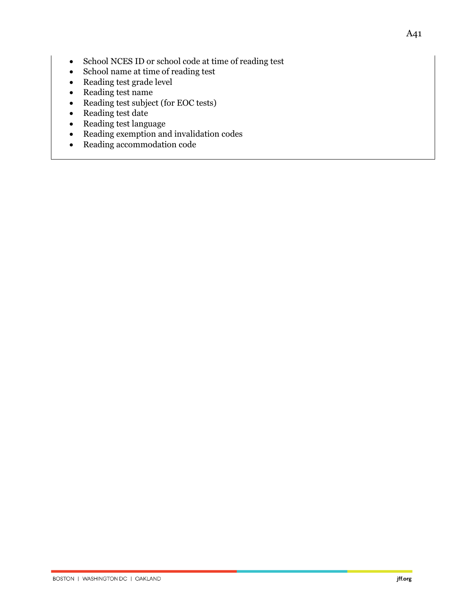- School NCES ID or school code at time of reading test
- School name at time of reading test
- Reading test grade level
- Reading test name
- Reading test subject (for EOC tests)
- Reading test date
- Reading test language
- Reading exemption and invalidation codes
- Reading accommodation code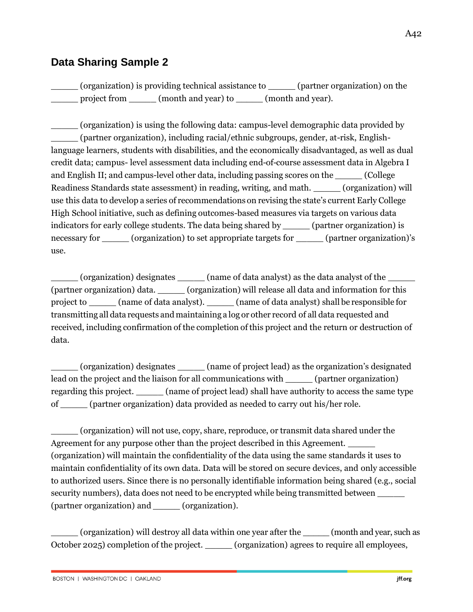# **Data Sharing Sample 2**

\_\_\_\_\_ (organization) is providing technical assistance to \_\_\_\_\_ (partner organization) on the project from  $(month \text{ and } year)$  to  $(month \text{ and } year).$ 

\_\_\_\_\_ (organization) is using the following data: campus-level demographic data provided by \_\_\_\_\_ (partner organization), including racial/ethnic subgroups, gender, at-risk, Englishlanguage learners, students with disabilities, and the economically disadvantaged, as well as dual credit data; campus- level assessment data including end-of-course assessment data in Algebra I and English II; and campus-level other data, including passing scores on the  $\qquad \qquad$  (College Readiness Standards state assessment) in reading, writing, and math. (organization) will use this data to develop a series of recommendations on revising the state's current Early College High School initiative, such as defining outcomes-based measures via targets on various data indicators for early college students. The data being shared by \_\_\_\_\_ (partner organization) is necessary for \_\_\_\_\_\_ (organization) to set appropriate targets for \_\_\_\_\_\_ (partner organization)'s use.

(organization) designates (name of data analyst) as the data analyst of the (partner organization) data. \_\_\_\_\_ (organization) will release all data and information for this project to \_\_\_\_\_ (name of data analyst). \_\_\_\_\_ (name of data analyst) shall be responsible for transmitting all data requests and maintaining a log or other record of all data requested and received, including confirmation of the completion of this project and the return or destruction of data.

\_\_\_\_\_ (organization) designates \_\_\_\_\_ (name of project lead) as the organization's designated lead on the project and the liaison for all communications with (partner organization) regarding this project. \_\_\_\_\_ (name of project lead) shall have authority to access the same type of \_\_\_\_\_ (partner organization) data provided as needed to carry out his/her role.

\_\_\_\_\_ (organization) will not use, copy, share, reproduce, or transmit data shared under the Agreement for any purpose other than the project described in this Agreement. \_\_\_\_\_ (organization) will maintain the confidentiality of the data using the same standards it uses to maintain confidentiality of its own data. Data will be stored on secure devices, and only accessible to authorized users. Since there is no personally identifiable information being shared (e.g., social security numbers), data does not need to be encrypted while being transmitted between \_\_\_\_\_ (partner organization) and \_\_\_\_\_ (organization).

\_\_\_\_\_ (organization) will destroy all data within one year after the \_\_\_\_\_ (month and year, such as October 2025) completion of the project. \_\_\_\_\_ (organization) agrees to require all employees,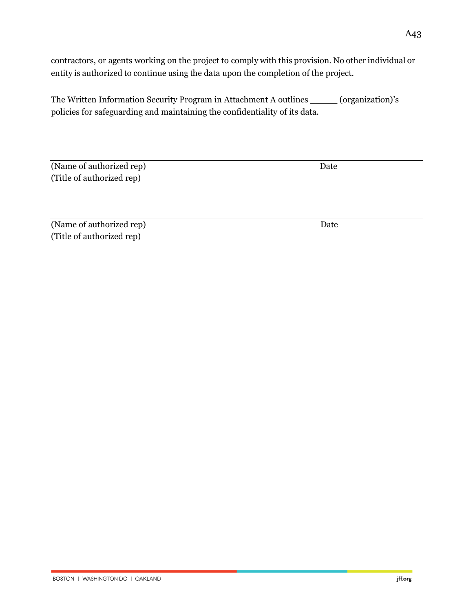contractors, or agents working on the project to comply with this provision. No other individual or entity is authorized to continue using the data upon the completion of the project.

The Written Information Security Program in Attachment A outlines \_\_\_\_\_ (organization)'s policies for safeguarding and maintaining the confidentiality of its data.

(Name of authorized rep) Date (Title of authorized rep)

(Name of authorized rep) Date (Title of authorized rep)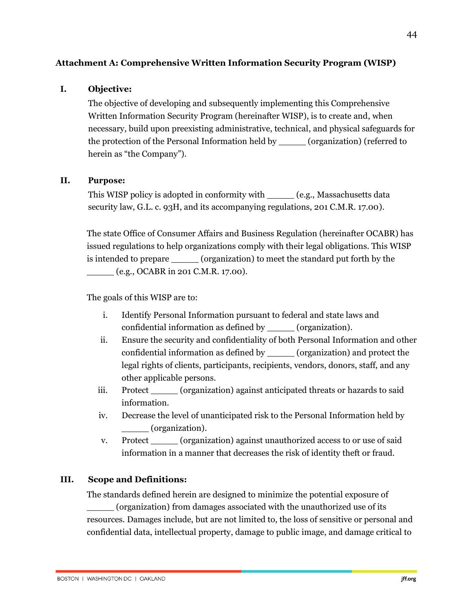### **Attachment A: Comprehensive Written Information Security Program (WISP)**

#### **I. Objective:**

The objective of developing and subsequently implementing this Comprehensive Written Information Security Program (hereinafter WISP), is to create and, when necessary, build upon preexisting administrative, technical, and physical safeguards for the protection of the Personal Information held by \_\_\_\_\_ (organization) (referred to herein as "the Company").

#### **II. Purpose:**

This WISP policy is adopted in conformity with \_\_\_\_\_\_ (e.g., Massachusetts data security law, G.L. c. 93H, and its accompanying regulations, 201 C.M.R. 17.00).

The state Office of Consumer Affairs and Business Regulation (hereinafter OCABR) has issued regulations to help organizations comply with their legal obligations. This WISP is intended to prepare \_\_\_\_\_ (organization) to meet the standard put forth by the  $_{\_}$  (e.g., OCABR in 201 C.M.R. 17.00).

The goals of this WISP are to:

- i. Identify Personal Information pursuant to federal and state laws and confidential information as defined by \_\_\_\_\_ (organization).
- ii. Ensure the security and confidentiality of both Personal Information and other confidential information as defined by \_\_\_\_\_ (organization) and protect the legal rights of clients, participants, recipients, vendors, donors, staff, and any other applicable persons.
- iii. Protect \_\_\_\_\_ (organization) against anticipated threats or hazards to said information.
- iv. Decrease the level of unanticipated risk to the Personal Information held by \_\_\_\_\_ (organization).
- v. Protect (organization) against unauthorized access to or use of said information in a manner that decreases the risk of identity theft or fraud.

#### **III. Scope and Definitions:**

The standards defined herein are designed to minimize the potential exposure of

\_\_\_\_\_ (organization) from damages associated with the unauthorized use of its resources. Damages include, but are not limited to, the loss of sensitive or personal and confidential data, intellectual property, damage to public image, and damage critical to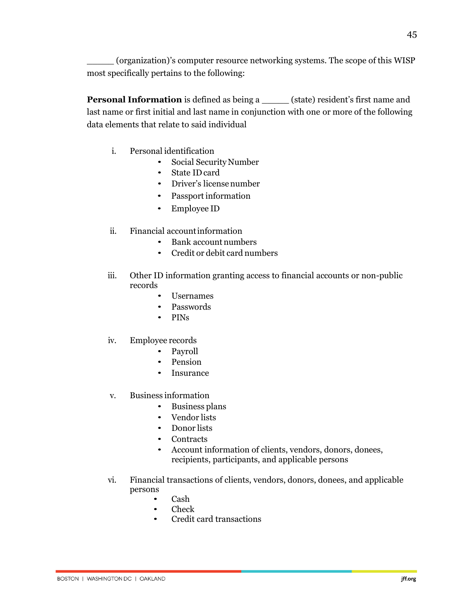45

\_\_\_\_\_ (organization)'s computer resource networking systems. The scope of this WISP most specifically pertains to the following:

**Personal Information** is defined as being a <u>\_\_\_\_\_</u> (state) resident's first name and last name or first initial and last name in conjunction with one or more of the following data elements that relate to said individual

- i. Personal identification
	- Social Security Number
	- State IDcard
	- Driver's licensenumber
	- Passport information
	- Employee ID
- ii. Financial accountinformation
	- Bank account numbers
	- Credit or debit card numbers
- iii. Other ID information granting access to financial accounts or non-public records
	- Usernames
	- Passwords
	- PINs
- iv. Employee records
	- Payroll
	- Pension
	- Insurance
- v. Business information
	- Business plans
	- Vendor lists
	- Donor lists
	- Contracts
	- Account information of clients, vendors, donors, donees, recipients, participants, and applicable persons
- vi. Financial transactions of clients, vendors, donors, donees, and applicable persons
	- Cash
	- Check
	- Credit card transactions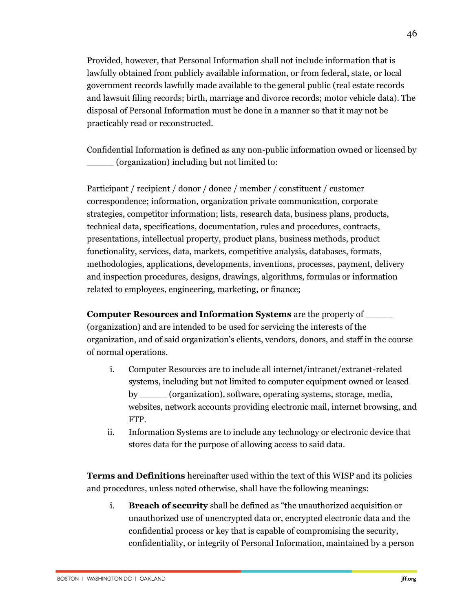Provided, however, that Personal Information shall not include information that is lawfully obtained from publicly available information, or from federal, state, or local government records lawfully made available to the general public (real estate records and lawsuit filing records; birth, marriage and divorce records; motor vehicle data). The disposal of Personal Information must be done in a manner so that it may not be practicably read or reconstructed.

Confidential Information is defined as any non-public information owned or licensed by \_\_\_\_\_ (organization) including but not limited to:

Participant / recipient / donor / donee / member / constituent / customer correspondence; information, organization private communication, corporate strategies, competitor information; lists, research data, business plans, products, technical data, specifications, documentation, rules and procedures, contracts, presentations, intellectual property, product plans, business methods, product functionality, services, data, markets, competitive analysis, databases, formats, methodologies, applications, developments, inventions, processes, payment, delivery and inspection procedures, designs, drawings, algorithms, formulas or information related to employees, engineering, marketing, or finance;

**Computer Resources and Information Systems** are the property of \_\_\_\_\_ (organization) and are intended to be used for servicing the interests of the organization, and of said organization's clients, vendors, donors, and staff in the course of normal operations.

- i. Computer Resources are to include all internet/intranet/extranet-related systems, including but not limited to computer equipment owned or leased by \_\_\_\_\_ (organization), software, operating systems, storage, media, websites, network accounts providing electronic mail, internet browsing, and FTP.
- ii. Information Systems are to include any technology or electronic device that stores data for the purpose of allowing access to said data.

**Terms and Definitions** hereinafter used within the text of this WISP and its policies and procedures, unless noted otherwise, shall have the following meanings:

i. **Breach of security** shall be defined as "the unauthorized acquisition or unauthorized use of unencrypted data or, encrypted electronic data and the confidential process or key that is capable of compromising the security, confidentiality, or integrity of Personal Information, maintained by a person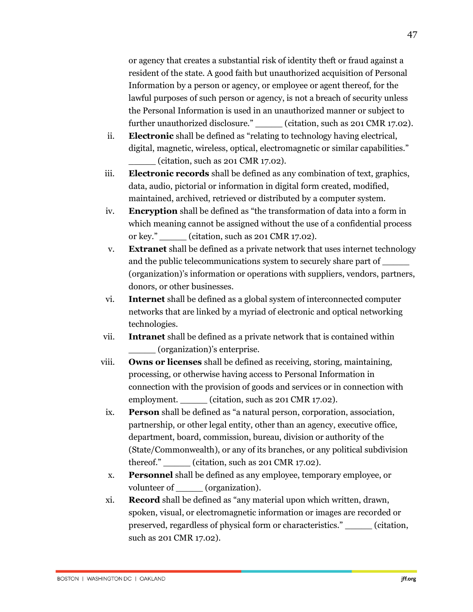or agency that creates a substantial risk of identity theft or fraud against a resident of the state. A good faith but unauthorized acquisition of Personal Information by a person or agency, or employee or agent thereof, for the lawful purposes of such person or agency, is not a breach of security unless the Personal Information is used in an unauthorized manner or subject to further unauthorized disclosure." \_\_\_\_\_ (citation, such as 201 CMR 17.02).

- ii. **Electronic** shall be defined as "relating to technology having electrical, digital, magnetic, wireless, optical, electromagnetic or similar capabilities."  $(citation, such as 201 \, CMR 17.02).$
- iii. **Electronic records** shall be defined as any combination of text, graphics, data, audio, pictorial or information in digital form created, modified, maintained, archived, retrieved or distributed by a computer system.
- iv. **Encryption** shall be defined as "the transformation of data into a form in which meaning cannot be assigned without the use of a confidential process or key." \_\_\_\_\_ (citation, such as 201 CMR 17.02).
- v. **Extranet** shall be defined as a private network that uses internet technology and the public telecommunications system to securely share part of (organization)'s information or operations with suppliers, vendors, partners, donors, or other businesses.
- vi. **Internet** shall be defined as a global system of interconnected computer networks that are linked by a myriad of electronic and optical networking technologies.
- vii. **Intranet** shall be defined as a private network that is contained within \_\_\_\_\_ (organization)'s enterprise.
- viii. **Owns or licenses** shall be defined as receiving, storing, maintaining, processing, or otherwise having access to Personal Information in connection with the provision of goods and services or in connection with employment. (citation, such as 201 CMR 17.02).
- ix. **Person** shall be defined as "a natural person, corporation, association, partnership, or other legal entity, other than an agency, executive office, department, board, commission, bureau, division or authority of the (State/Commonwealth), or any of its branches, or any political subdivision thereof." (citation, such as 201 CMR 17.02).
- x. **Personnel** shall be defined as any employee, temporary employee, or volunteer of \_\_\_\_\_ (organization).
- xi. **Record** shall be defined as "any material upon which written, drawn, spoken, visual, or electromagnetic information or images are recorded or preserved, regardless of physical form or characteristics." \_\_\_\_\_ (citation, such as 201 CMR 17.02).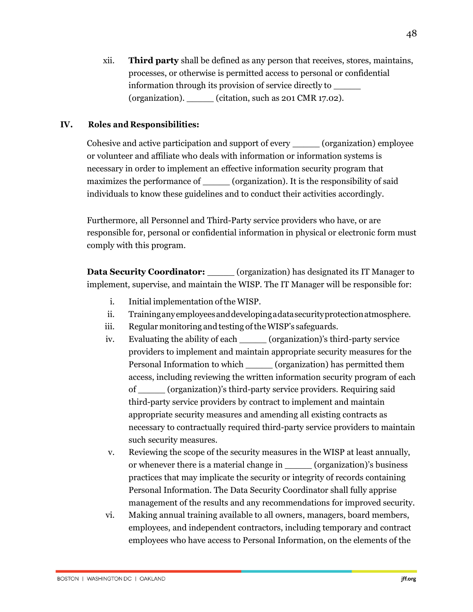xii. **Third party** shall be defined as any person that receives, stores, maintains, processes, or otherwise is permitted access to personal or confidential information through its provision of service directly to \_\_\_\_\_ (organization).  $\qquad \qquad$  (citation, such as 201 CMR 17.02).

### **IV. Roles and Responsibilities:**

Cohesive and active participation and support of every \_\_\_\_\_ (organization) employee or volunteer and affiliate who deals with information or information systems is necessary in order to implement an effective information security program that maximizes the performance of  $(organization)$ . It is the responsibility of said individuals to know these guidelines and to conduct their activities accordingly.

Furthermore, all Personnel and Third-Party service providers who have, or are responsible for, personal or confidential information in physical or electronic form must comply with this program.

**Data Security Coordinator:** \_\_\_\_\_\_ (organization) has designated its IT Manager to implement, supervise, and maintain the WISP. The IT Manager will be responsible for:

- i. Initial implementation ofthe WISP.
- ii. Traininganyemployeesanddevelopingadatasecurityprotectionatmosphere.
- iii. Regular monitoring and testing oftheWISP's safeguards.
- iv. Evaluating the ability of each \_\_\_\_\_ (organization)'s third-party service providers to implement and maintain appropriate security measures for the Personal Information to which \_\_\_\_\_ (organization) has permitted them access, including reviewing the written information security program of each of \_\_\_\_\_ (organization)'s third-party service providers. Requiring said third-party service providers by contract to implement and maintain appropriate security measures and amending all existing contracts as necessary to contractually required third-party service providers to maintain such security measures.
- v. Reviewing the scope of the security measures in the WISP at least annually, or whenever there is a material change in (organization)'s business practices that may implicate the security or integrity of records containing Personal Information. The Data Security Coordinator shall fully apprise management of the results and any recommendations for improved security.
- vi. Making annual training available to all owners, managers, board members, employees, and independent contractors, including temporary and contract employees who have access to Personal Information, on the elements of the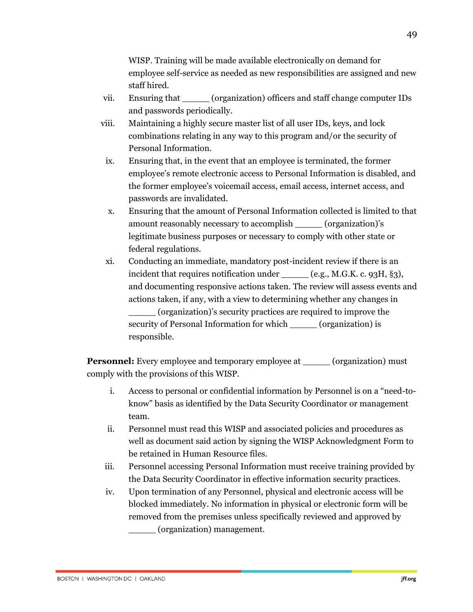WISP. Training will be made available electronically on demand for employee self-service as needed as new responsibilities are assigned and new staff hired.

- vii. Ensuring that \_\_\_\_\_ (organization) officers and staff change computer IDs and passwords periodically.
- viii. Maintaining a highly secure master list of all user IDs, keys, and lock combinations relating in any way to this program and/or the security of Personal Information.
- ix. Ensuring that, in the event that an employee is terminated, the former employee's remote electronic access to Personal Information is disabled, and the former employee's voicemail access, email access, internet access, and passwords are invalidated.
- x. Ensuring that the amount of Personal Information collected is limited to that amount reasonably necessary to accomplish (organization)'s legitimate business purposes or necessary to comply with other state or federal regulations.
- xi. Conducting an immediate, mandatory post-incident review if there is an incident that requires notification under  $(e.g., M.G.K. c. 93H, \S3),$ and documenting responsive actions taken. The review will assess events and actions taken, if any, with a view to determining whether any changes in \_\_\_\_\_ (organization)'s security practices are required to improve the security of Personal Information for which (organization) is responsible.

**Personnel:** Every employee and temporary employee at \_\_\_\_\_\_ (organization) must comply with the provisions of this WISP.

- i. Access to personal or confidential information by Personnel is on a "need-toknow" basis as identified by the Data Security Coordinator or management team.
- ii. Personnel must read this WISP and associated policies and procedures as well as document said action by signing the WISP Acknowledgment Form to be retained in Human Resource files.
- iii. Personnel accessing Personal Information must receive training provided by the Data Security Coordinator in effective information security practices.
- iv. Upon termination of any Personnel, physical and electronic access will be blocked immediately. No information in physical or electronic form will be removed from the premises unless specifically reviewed and approved by \_\_\_\_\_ (organization) management.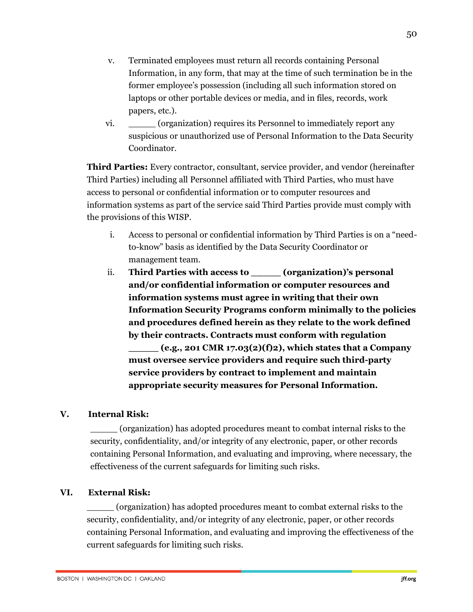- v. Terminated employees must return all records containing Personal Information, in any form, that may at the time of such termination be in the former employee's possession (including all such information stored on laptops or other portable devices or media, and in files, records, work papers, etc.).
- vi. \_\_\_\_\_ (organization) requires its Personnel to immediately report any suspicious or unauthorized use of Personal Information to the Data Security Coordinator.

**Third Parties:** Every contractor, consultant, service provider, and vendor (hereinafter Third Parties) including all Personnel affiliated with Third Parties, who must have access to personal or confidential information or to computer resources and information systems as part of the service said Third Parties provide must comply with the provisions of this WISP.

- i. Access to personal or confidential information by Third Parties is on a "needto-know" basis as identified by the Data Security Coordinator or management team.
- ii. **Third Parties with access to comparization**)'s personal **and/or confidential information or computer resources and information systems must agree in writing that their own Information Security Programs conform minimally to the policies and procedures defined herein as they relate to the work defined by their contracts. Contracts must conform with regulation \_\_\_\_\_ (e.g., 201 CMR 17.03(2)(f)2), which states that a Company must oversee service providers and require such third-party service providers by contract to implement and maintain appropriate security measures for Personal Information.**

# **V. Internal Risk:**

\_\_\_\_\_ (organization) has adopted procedures meant to combat internal risks to the security, confidentiality, and/or integrity of any electronic, paper, or other records containing Personal Information, and evaluating and improving, where necessary, the effectiveness of the current safeguards for limiting such risks.

# **VI. External Risk:**

\_\_\_\_\_ (organization) has adopted procedures meant to combat external risks to the security, confidentiality, and/or integrity of any electronic, paper, or other records containing Personal Information, and evaluating and improving the effectiveness of the current safeguards for limiting such risks.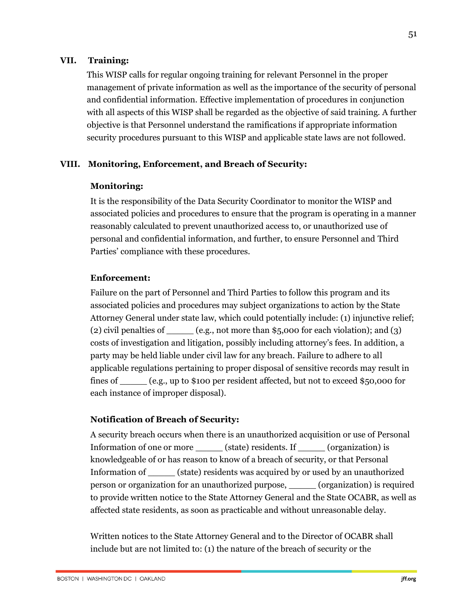#### **VII. Training:**

This WISP calls for regular ongoing training for relevant Personnel in the proper management of private information as well as the importance of the security of personal and confidential information. Effective implementation of procedures in conjunction with all aspects of this WISP shall be regarded as the objective of said training. A further objective is that Personnel understand the ramifications if appropriate information security procedures pursuant to this WISP and applicable state laws are not followed.

#### **VIII. Monitoring, Enforcement, and Breach of Security:**

#### **Monitoring:**

It is the responsibility of the Data Security Coordinator to monitor the WISP and associated policies and procedures to ensure that the program is operating in a manner reasonably calculated to prevent unauthorized access to, or unauthorized use of personal and confidential information, and further, to ensure Personnel and Third Parties' compliance with these procedures.

#### **Enforcement:**

Failure on the part of Personnel and Third Parties to follow this program and its associated policies and procedures may subject organizations to action by the State Attorney General under state law, which could potentially include: (1) injunctive relief; (2) civil penalties of  $\_\_\_\_\_\_\_\_\_\_\_\.\$  not more than \$5,000 for each violation); and (3) costs of investigation and litigation, possibly including attorney's fees. In addition, a party may be held liable under civil law for any breach. Failure to adhere to all applicable regulations pertaining to proper disposal of sensitive records may result in fines of  $(e.g., up to $100 per resident affected, but not to exceed $50,000 for$ each instance of improper disposal).

#### **Notification of Breach of Security:**

A security breach occurs when there is an unauthorized acquisition or use of Personal Information of one or more \_\_\_\_\_ (state) residents. If \_\_\_\_\_ (organization) is knowledgeable of or has reason to know of a breach of security, or that Personal Information of \_\_\_\_\_ (state) residents was acquired by or used by an unauthorized person or organization for an unauthorized purpose, \_\_\_\_\_ (organization) is required to provide written notice to the State Attorney General and the State OCABR, as well as affected state residents, as soon as practicable and without unreasonable delay.

Written notices to the State Attorney General and to the Director of OCABR shall include but are not limited to: (1) the nature of the breach of security or the